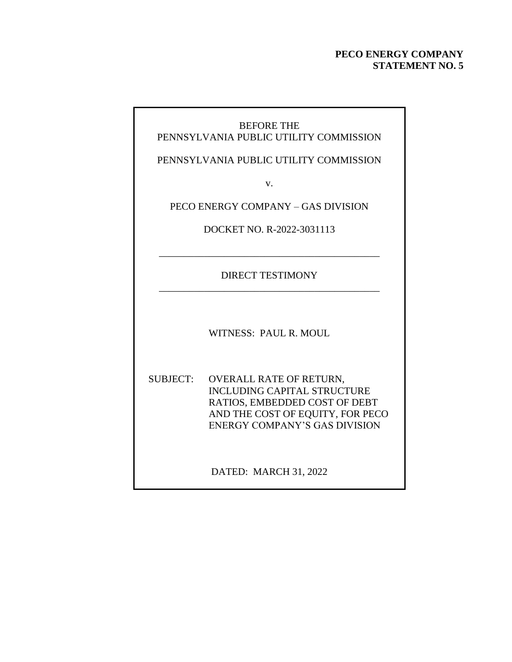### **PECO ENERGY COMPANY STATEMENT NO. 5**

### BEFORE THE PENNSYLVANIA PUBLIC UTILITY COMMISSION

PENNSYLVANIA PUBLIC UTILITY COMMISSION

v.

PECO ENERGY COMPANY – GAS DIVISION

DOCKET NO. R-2022-3031113

DIRECT TESTIMONY \_\_\_\_\_\_\_\_\_\_\_\_\_\_\_\_\_\_\_\_\_\_\_\_\_\_\_\_\_\_\_\_\_\_\_\_\_\_\_\_\_\_\_\_

\_\_\_\_\_\_\_\_\_\_\_\_\_\_\_\_\_\_\_\_\_\_\_\_\_\_\_\_\_\_\_\_\_\_\_\_\_\_\_\_\_\_\_\_

WITNESS: PAUL R. MOUL

SUBJECT: OVERALL RATE OF RETURN, INCLUDING CAPITAL STRUCTURE RATIOS, EMBEDDED COST OF DEBT AND THE COST OF EQUITY, FOR PECO ENERGY COMPANY'S GAS DIVISION

DATED: MARCH 31, 2022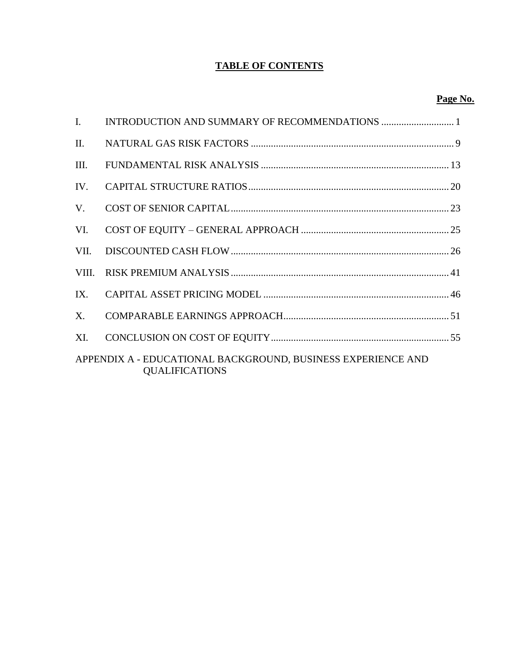### **TABLE OF CONTENTS**

### **Page No.**

| L.      |                                                                                       |
|---------|---------------------------------------------------------------------------------------|
| Π.      |                                                                                       |
| III.    |                                                                                       |
| IV.     |                                                                                       |
| V.      |                                                                                       |
| VI.     |                                                                                       |
| VII.    |                                                                                       |
| VIII.   |                                                                                       |
| IX.     |                                                                                       |
| $X_{-}$ |                                                                                       |
| XI.     |                                                                                       |
|         | APPENDIX A - EDUCATIONAL BACKGROUND, BUSINESS EXPERIENCE AND<br><b>QUALIFICATIONS</b> |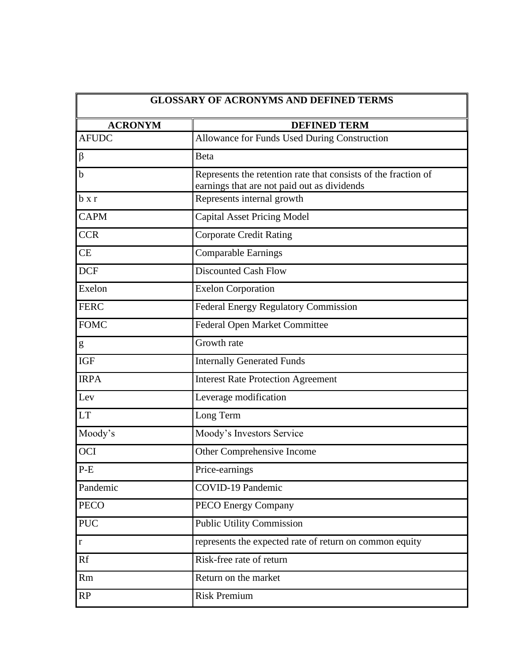| <b>ACRONYM</b><br><b>DEFINED TERM</b> |                                                                                                               |  |  |  |
|---------------------------------------|---------------------------------------------------------------------------------------------------------------|--|--|--|
| <b>AFUDC</b>                          | <b>Allowance for Funds Used During Construction</b>                                                           |  |  |  |
| β                                     | Beta                                                                                                          |  |  |  |
| b                                     | Represents the retention rate that consists of the fraction of<br>earnings that are not paid out as dividends |  |  |  |
| $b \times r$                          | Represents internal growth                                                                                    |  |  |  |
| <b>CAPM</b>                           | <b>Capital Asset Pricing Model</b>                                                                            |  |  |  |
| <b>CCR</b>                            | <b>Corporate Credit Rating</b>                                                                                |  |  |  |
| <b>CE</b>                             | <b>Comparable Earnings</b>                                                                                    |  |  |  |
| <b>DCF</b>                            | <b>Discounted Cash Flow</b>                                                                                   |  |  |  |
| Exelon                                | <b>Exelon Corporation</b>                                                                                     |  |  |  |
| <b>FERC</b>                           | <b>Federal Energy Regulatory Commission</b>                                                                   |  |  |  |
| <b>FOMC</b>                           | Federal Open Market Committee                                                                                 |  |  |  |
| g                                     | Growth rate                                                                                                   |  |  |  |
| <b>IGF</b>                            | <b>Internally Generated Funds</b>                                                                             |  |  |  |
| <b>IRPA</b>                           | <b>Interest Rate Protection Agreement</b>                                                                     |  |  |  |
| Lev                                   | Leverage modification                                                                                         |  |  |  |
| <b>LT</b>                             | Long Term                                                                                                     |  |  |  |
| Moody's                               | Moody's Investors Service                                                                                     |  |  |  |
| <b>OCI</b>                            | Other Comprehensive Income                                                                                    |  |  |  |
| $P-E$                                 | Price-earnings                                                                                                |  |  |  |
| Pandemic                              | <b>COVID-19 Pandemic</b>                                                                                      |  |  |  |
| <b>PECO</b>                           | <b>PECO Energy Company</b>                                                                                    |  |  |  |
| <b>PUC</b>                            | <b>Public Utility Commission</b>                                                                              |  |  |  |
| $\bf r$                               | represents the expected rate of return on common equity                                                       |  |  |  |
| Rf                                    | Risk-free rate of return                                                                                      |  |  |  |
| Rm                                    | Return on the market                                                                                          |  |  |  |
| <b>RP</b>                             | <b>Risk Premium</b>                                                                                           |  |  |  |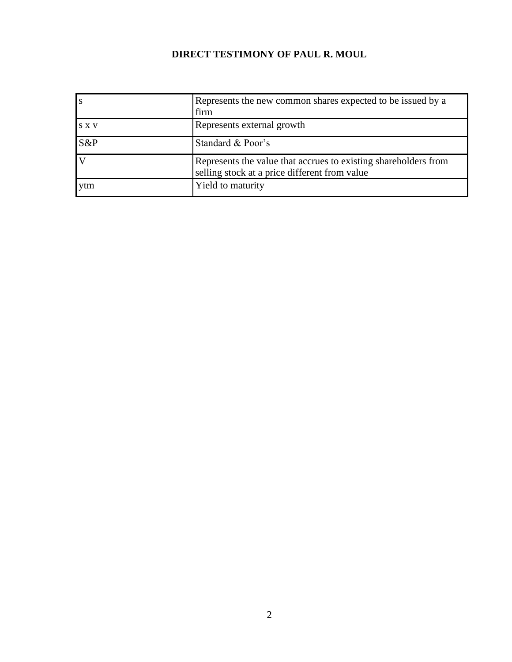## **DIRECT TESTIMONY OF PAUL R. MOUL**

|       | Represents the new common shares expected to be issued by a<br>firm                                              |
|-------|------------------------------------------------------------------------------------------------------------------|
| S X V | Represents external growth                                                                                       |
| S&P   | Standard & Poor's                                                                                                |
|       | Represents the value that accrues to existing shareholders from<br>selling stock at a price different from value |
| ytm   | Yield to maturity                                                                                                |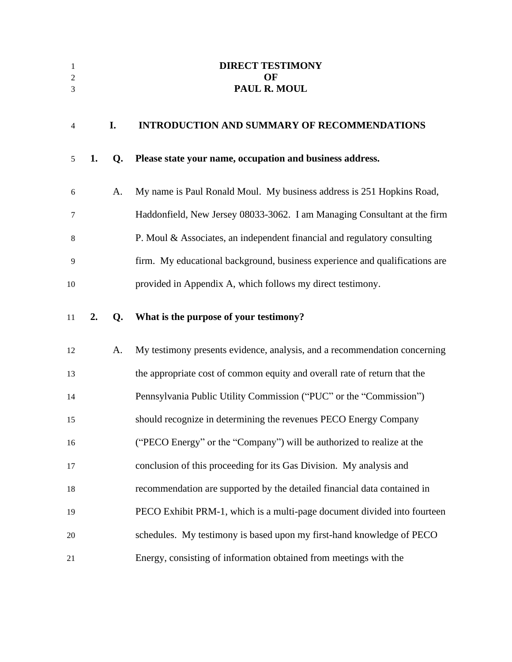<span id="page-4-0"></span>

| 1<br>2<br>3 |    |           | <b>DIRECT TESTIMONY</b><br>OF<br>PAUL R. MOUL                               |
|-------------|----|-----------|-----------------------------------------------------------------------------|
|             |    |           |                                                                             |
| 4           |    | I.        | <b>INTRODUCTION AND SUMMARY OF RECOMMENDATIONS</b>                          |
| 5           | 1. | Q.        | Please state your name, occupation and business address.                    |
| 6           |    | A.        | My name is Paul Ronald Moul. My business address is 251 Hopkins Road,       |
| 7           |    |           | Haddonfield, New Jersey 08033-3062. I am Managing Consultant at the firm    |
| 8           |    |           | P. Moul & Associates, an independent financial and regulatory consulting    |
| 9           |    |           | firm. My educational background, business experience and qualifications are |
| 10          |    |           | provided in Appendix A, which follows my direct testimony.                  |
| 11          | 2. | $Q_{\rm}$ | What is the purpose of your testimony?                                      |
| 12          |    | A.        | My testimony presents evidence, analysis, and a recommendation concerning   |
| 13          |    |           | the appropriate cost of common equity and overall rate of return that the   |
| 14          |    |           | Pennsylvania Public Utility Commission ("PUC" or the "Commission")          |
| 15          |    |           | should recognize in determining the revenues PECO Energy Company            |
| 16          |    |           | ("PECO Energy" or the "Company") will be authorized to realize at the       |
| 17          |    |           | conclusion of this proceeding for its Gas Division. My analysis and         |
| 18          |    |           | recommendation are supported by the detailed financial data contained in    |
| 19          |    |           | PECO Exhibit PRM-1, which is a multi-page document divided into fourteen    |
| 20          |    |           | schedules. My testimony is based upon my first-hand knowledge of PECO       |
| 21          |    |           | Energy, consisting of information obtained from meetings with the           |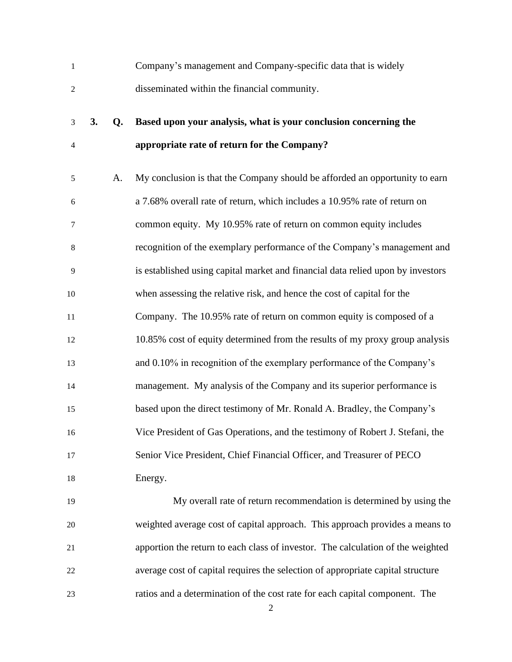| $\mathbf{1}$     |    |    | Company's management and Company-specific data that is widely                   |
|------------------|----|----|---------------------------------------------------------------------------------|
| $\mathbf{2}$     |    |    | disseminated within the financial community.                                    |
| 3                | 3. | Q. | Based upon your analysis, what is your conclusion concerning the                |
| $\overline{4}$   |    |    | appropriate rate of return for the Company?                                     |
| $\sqrt{5}$       |    | A. | My conclusion is that the Company should be afforded an opportunity to earn     |
| $\boldsymbol{6}$ |    |    | a 7.68% overall rate of return, which includes a 10.95% rate of return on       |
| $\boldsymbol{7}$ |    |    | common equity. My 10.95% rate of return on common equity includes               |
| $\,8\,$          |    |    | recognition of the exemplary performance of the Company's management and        |
| 9                |    |    | is established using capital market and financial data relied upon by investors |
| 10               |    |    | when assessing the relative risk, and hence the cost of capital for the         |
| 11               |    |    | Company. The 10.95% rate of return on common equity is composed of a            |
| 12               |    |    | 10.85% cost of equity determined from the results of my proxy group analysis    |
| 13               |    |    | and 0.10% in recognition of the exemplary performance of the Company's          |
| 14               |    |    | management. My analysis of the Company and its superior performance is          |
| 15               |    |    | based upon the direct testimony of Mr. Ronald A. Bradley, the Company's         |
| 16               |    |    | Vice President of Gas Operations, and the testimony of Robert J. Stefani, the   |
| 17               |    |    | Senior Vice President, Chief Financial Officer, and Treasurer of PECO           |
| 18               |    |    | Energy.                                                                         |
| 19               |    |    | My overall rate of return recommendation is determined by using the             |
| 20               |    |    | weighted average cost of capital approach. This approach provides a means to    |
| 21               |    |    | apportion the return to each class of investor. The calculation of the weighted |
| 22               |    |    | average cost of capital requires the selection of appropriate capital structure |
| 23               |    |    | ratios and a determination of the cost rate for each capital component. The     |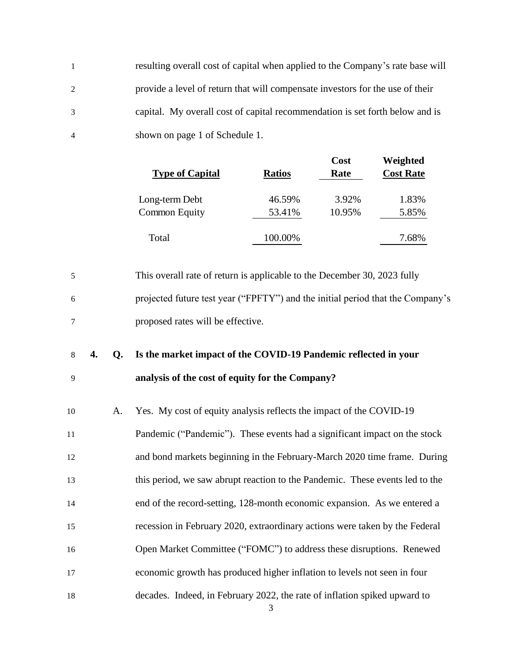resulting overall cost of capital when applied to the Company's rate base will provide a level of return that will compensate investors for the use of their capital. My overall cost of capital recommendation is set forth below and is shown on page 1 of Schedule 1.

| <b>Type of Capital</b>                 | <b>Ratios</b>    | Cost<br>Rate    | Weighted<br><b>Cost Rate</b> |
|----------------------------------------|------------------|-----------------|------------------------------|
| Long-term Debt<br><b>Common Equity</b> | 46.59%<br>53.41% | 3.92%<br>10.95% | 1.83%<br>5.85%               |
| Total                                  | 100.00%          |                 | 7.68%                        |

 This overall rate of return is applicable to the December 30, 2023 fully projected future test year ("FPFTY") and the initial period that the Company's proposed rates will be effective.

## **4. Q. Is the market impact of the COVID-19 Pandemic reflected in your analysis of the cost of equity for the Company?**

 A. Yes. My cost of equity analysis reflects the impact of the COVID-19 Pandemic ("Pandemic"). These events had a significant impact on the stock and bond markets beginning in the February-March 2020 time frame. During this period, we saw abrupt reaction to the Pandemic. These events led to the end of the record-setting, 128-month economic expansion. As we entered a recession in February 2020, extraordinary actions were taken by the Federal Open Market Committee ("FOMC") to address these disruptions. Renewed economic growth has produced higher inflation to levels not seen in four decades. Indeed, in February 2022, the rate of inflation spiked upward to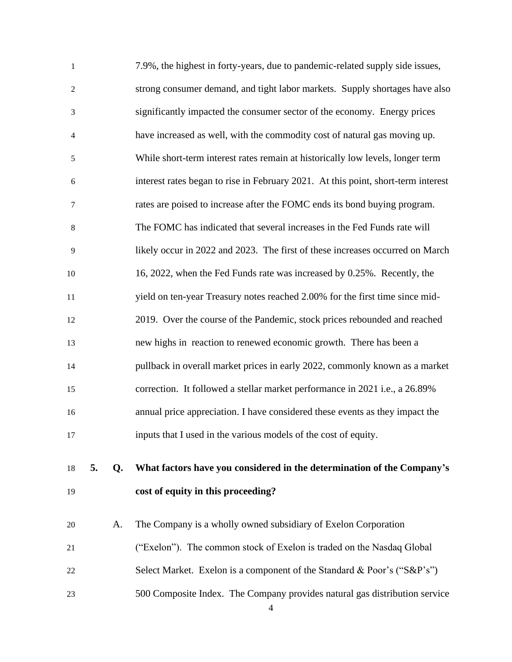| $\mathbf{1}$     |    |    | 7.9%, the highest in forty-years, due to pandemic-related supply side issues,     |
|------------------|----|----|-----------------------------------------------------------------------------------|
| $\overline{c}$   |    |    | strong consumer demand, and tight labor markets. Supply shortages have also       |
| $\mathfrak{Z}$   |    |    | significantly impacted the consumer sector of the economy. Energy prices          |
| $\overline{4}$   |    |    | have increased as well, with the commodity cost of natural gas moving up.         |
| $\sqrt{5}$       |    |    | While short-term interest rates remain at historically low levels, longer term    |
| $\boldsymbol{6}$ |    |    | interest rates began to rise in February 2021. At this point, short-term interest |
| $\tau$           |    |    | rates are poised to increase after the FOMC ends its bond buying program.         |
| $\,8\,$          |    |    | The FOMC has indicated that several increases in the Fed Funds rate will          |
| 9                |    |    | likely occur in 2022 and 2023. The first of these increases occurred on March     |
| 10               |    |    | 16, 2022, when the Fed Funds rate was increased by 0.25%. Recently, the           |
| $11\,$           |    |    | yield on ten-year Treasury notes reached 2.00% for the first time since mid-      |
| 12               |    |    | 2019. Over the course of the Pandemic, stock prices rebounded and reached         |
| 13               |    |    | new highs in reaction to renewed economic growth. There has been a                |
| 14               |    |    | pullback in overall market prices in early 2022, commonly known as a market       |
| 15               |    |    | correction. It followed a stellar market performance in 2021 i.e., a 26.89%       |
| 16               |    |    | annual price appreciation. I have considered these events as they impact the      |
| 17               |    |    | inputs that I used in the various models of the cost of equity.                   |
|                  | 5. |    |                                                                                   |
| 18               |    | Q. | What factors have you considered in the determination of the Company's            |
| 19               |    |    | cost of equity in this proceeding?                                                |
| 20               |    | A. | The Company is a wholly owned subsidiary of Exelon Corporation                    |
| 21               |    |    | ("Exelon"). The common stock of Exelon is traded on the Nasdaq Global             |

- 22 Select Market. Exelon is a component of the Standard & Poor's ("S&P's")
- 500 Composite Index. The Company provides natural gas distribution service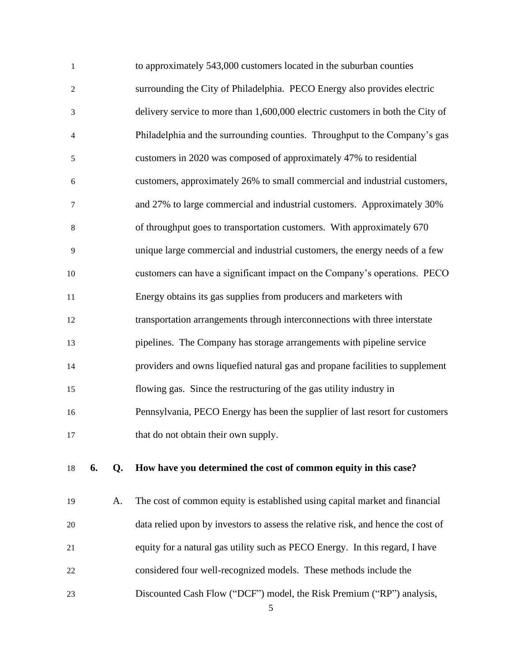| $\mathbf{1}$     |    |    | to approximately 543,000 customers located in the suburban counties              |
|------------------|----|----|----------------------------------------------------------------------------------|
| $\boldsymbol{2}$ |    |    | surrounding the City of Philadelphia. PECO Energy also provides electric         |
| $\mathfrak{Z}$   |    |    | delivery service to more than 1,600,000 electric customers in both the City of   |
| 4                |    |    | Philadelphia and the surrounding counties. Throughput to the Company's gas       |
| 5                |    |    | customers in 2020 was composed of approximately 47% to residential               |
| $\sqrt{6}$       |    |    | customers, approximately 26% to small commercial and industrial customers,       |
| 7                |    |    | and 27% to large commercial and industrial customers. Approximately 30%          |
| $8\,$            |    |    | of throughput goes to transportation customers. With approximately 670           |
| 9                |    |    | unique large commercial and industrial customers, the energy needs of a few      |
| 10               |    |    | customers can have a significant impact on the Company's operations. PECO        |
| 11               |    |    | Energy obtains its gas supplies from producers and marketers with                |
| 12               |    |    | transportation arrangements through interconnections with three interstate       |
| 13               |    |    | pipelines. The Company has storage arrangements with pipeline service            |
| 14               |    |    | providers and owns liquefied natural gas and propane facilities to supplement    |
| 15               |    |    | flowing gas. Since the restructuring of the gas utility industry in              |
| 16               |    |    | Pennsylvania, PECO Energy has been the supplier of last resort for customers     |
| 17               |    |    | that do not obtain their own supply.                                             |
| 18               | 6. | Q. | How have you determined the cost of common equity in this case?                  |
| 19               |    | A. | The cost of common equity is established using capital market and financial      |
| 20               |    |    | data relied upon by investors to assess the relative risk, and hence the cost of |
| 21               |    |    | equity for a natural gas utility such as PECO Energy. In this regard, I have     |

- considered four well-recognized models. These methods include the
- Discounted Cash Flow ("DCF") model, the Risk Premium ("RP") analysis,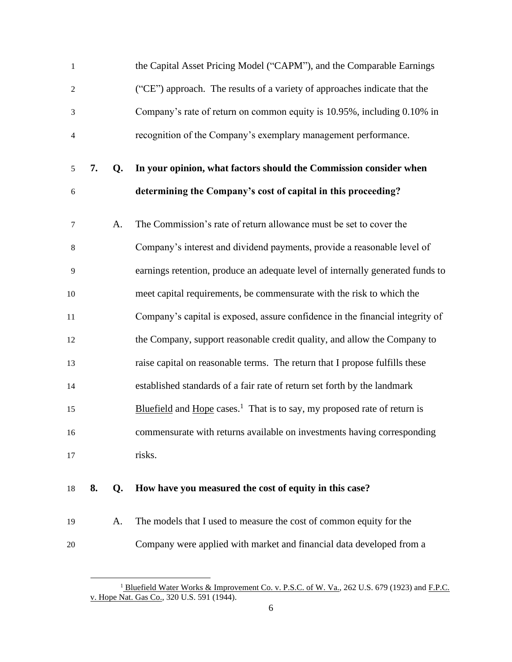| $\mathbf{1}$   |    |    | the Capital Asset Pricing Model ("CAPM"), and the Comparable Earnings                |
|----------------|----|----|--------------------------------------------------------------------------------------|
| 2              |    |    | ("CE") approach. The results of a variety of approaches indicate that the            |
| 3              |    |    | Company's rate of return on common equity is 10.95%, including 0.10% in              |
| $\overline{4}$ |    |    | recognition of the Company's exemplary management performance.                       |
| 5              | 7. | Q. | In your opinion, what factors should the Commission consider when                    |
| 6              |    |    | determining the Company's cost of capital in this proceeding?                        |
| 7              |    | A. | The Commission's rate of return allowance must be set to cover the                   |
| 8              |    |    | Company's interest and dividend payments, provide a reasonable level of              |
| 9              |    |    | earnings retention, produce an adequate level of internally generated funds to       |
| 10             |    |    | meet capital requirements, be commensurate with the risk to which the                |
| 11             |    |    | Company's capital is exposed, assure confidence in the financial integrity of        |
| 12             |    |    | the Company, support reasonable credit quality, and allow the Company to             |
| 13             |    |    | raise capital on reasonable terms. The return that I propose fulfills these          |
| 14             |    |    | established standards of a fair rate of return set forth by the landmark             |
| 15             |    |    | Bluefield and Hope cases. <sup>1</sup> That is to say, my proposed rate of return is |
| 16             |    |    | commensurate with returns available on investments having corresponding              |
| 17             |    |    | risks.                                                                               |
|                |    |    |                                                                                      |

### **8. Q. How have you measured the cost of equity in this case?**

 A. The models that I used to measure the cost of common equity for the Company were applied with market and financial data developed from a

<sup>&</sup>lt;sup>1</sup> Bluefield Water Works & Improvement Co. v. P.S.C. of W. Va., 262 U.S. 679 (1923) and F.P.C. v. Hope Nat. Gas Co., 320 U.S. 591 (1944).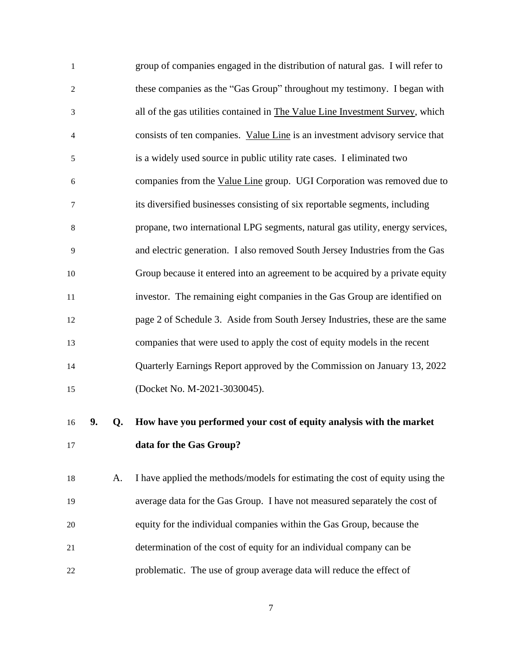| -1             | group of companies engaged in the distribution of natural gas. I will refer to |
|----------------|--------------------------------------------------------------------------------|
| $\overline{2}$ | these companies as the "Gas Group" throughout my testimony. I began with       |
| 3              | all of the gas utilities contained in The Value Line Investment Survey, which  |
| $\overline{4}$ | consists of ten companies. Value Line is an investment advisory service that   |
| 5              | is a widely used source in public utility rate cases. I eliminated two         |
| 6              | companies from the Value Line group. UGI Corporation was removed due to        |
| 7              | its diversified businesses consisting of six reportable segments, including    |
| 8              | propane, two international LPG segments, natural gas utility, energy services, |
| 9              | and electric generation. I also removed South Jersey Industries from the Gas   |
| 10             | Group because it entered into an agreement to be acquired by a private equity  |
| 11             | investor. The remaining eight companies in the Gas Group are identified on     |
| 12             | page 2 of Schedule 3. Aside from South Jersey Industries, these are the same   |
| 13             | companies that were used to apply the cost of equity models in the recent      |
| 14             | Quarterly Earnings Report approved by the Commission on January 13, 2022       |
| 15             | (Docket No. M-2021-3030045).                                                   |
|                |                                                                                |

# **9. Q. How have you performed your cost of equity analysis with the market data for the Gas Group?**

 A. I have applied the methods/models for estimating the cost of equity using the average data for the Gas Group. I have not measured separately the cost of equity for the individual companies within the Gas Group, because the determination of the cost of equity for an individual company can be problematic. The use of group average data will reduce the effect of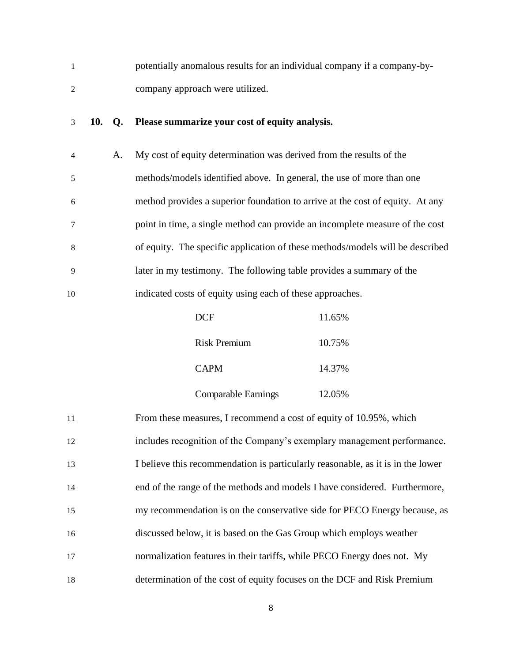| potentially anomalous results for an individual company if a company-by- |
|--------------------------------------------------------------------------|
| company approach were utilized.                                          |

## **10. Q. Please summarize your cost of equity analysis.**

| $\overline{4}$ | А. | My cost of equity determination was derived from the results of the           |
|----------------|----|-------------------------------------------------------------------------------|
| 5              |    | methods/models identified above. In general, the use of more than one         |
| 6              |    | method provides a superior foundation to arrive at the cost of equity. At any |
|                |    | point in time, a single method can provide an incomplete measure of the cost  |
| 8              |    | of equity. The specific application of these methods/models will be described |
| -9             |    | later in my testimony. The following table provides a summary of the          |
| 10             |    | indicated costs of equity using each of these approaches.                     |

| <b>DCF</b>                 | 11.65% |
|----------------------------|--------|
| Risk Premium               | 10.75% |
| <b>CAPM</b>                | 14.37% |
| <b>Comparable Earnings</b> | 12.05% |

| 11 | From these measures, I recommend a cost of equity of 10.95%, which              |
|----|---------------------------------------------------------------------------------|
| 12 | includes recognition of the Company's exemplary management performance.         |
| 13 | I believe this recommendation is particularly reasonable, as it is in the lower |
| 14 | end of the range of the methods and models I have considered. Furthermore,      |
| 15 | my recommendation is on the conservative side for PECO Energy because, as       |
| 16 | discussed below, it is based on the Gas Group which employs weather             |
| 17 | normalization features in their tariffs, while PECO Energy does not. My         |
| 18 | determination of the cost of equity focuses on the DCF and Risk Premium         |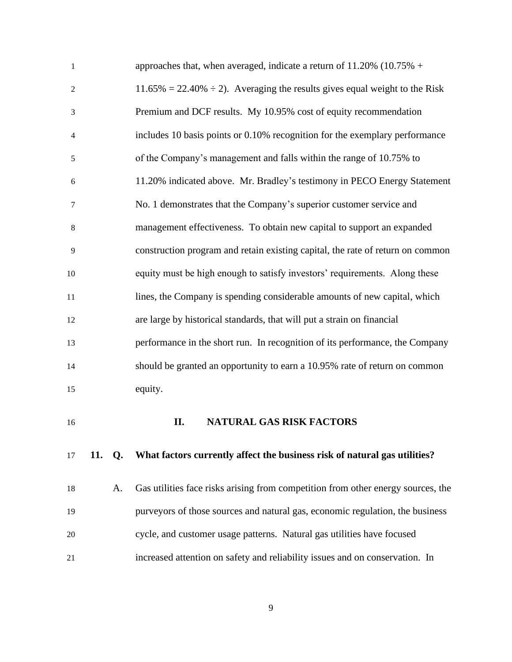| 16             | II.<br><b>NATURAL GAS RISK FACTORS</b>                                            |
|----------------|-----------------------------------------------------------------------------------|
| 15             | equity.                                                                           |
| 14             | should be granted an opportunity to earn a 10.95% rate of return on common        |
| 13             | performance in the short run. In recognition of its performance, the Company      |
| 12             | are large by historical standards, that will put a strain on financial            |
| 11             | lines, the Company is spending considerable amounts of new capital, which         |
| 10             | equity must be high enough to satisfy investors' requirements. Along these        |
| 9              | construction program and retain existing capital, the rate of return on common    |
| 8              | management effectiveness. To obtain new capital to support an expanded            |
| 7              | No. 1 demonstrates that the Company's superior customer service and               |
| 6              | 11.20% indicated above. Mr. Bradley's testimony in PECO Energy Statement          |
| 5              | of the Company's management and falls within the range of 10.75% to               |
| $\overline{4}$ | includes 10 basis points or 0.10% recognition for the exemplary performance       |
| 3              | Premium and DCF results. My 10.95% cost of equity recommendation                  |
| $\overline{2}$ | $11.65\% = 22.40\% \div 2$ . Averaging the results gives equal weight to the Risk |
| $\mathbf{1}$   | approaches that, when averaged, indicate a return of $11.20\%$ (10.75% +          |

### <span id="page-12-0"></span>**11. Q. What factors currently affect the business risk of natural gas utilities?**

 A. Gas utilities face risks arising from competition from other energy sources, the purveyors of those sources and natural gas, economic regulation, the business cycle, and customer usage patterns. Natural gas utilities have focused increased attention on safety and reliability issues and on conservation. In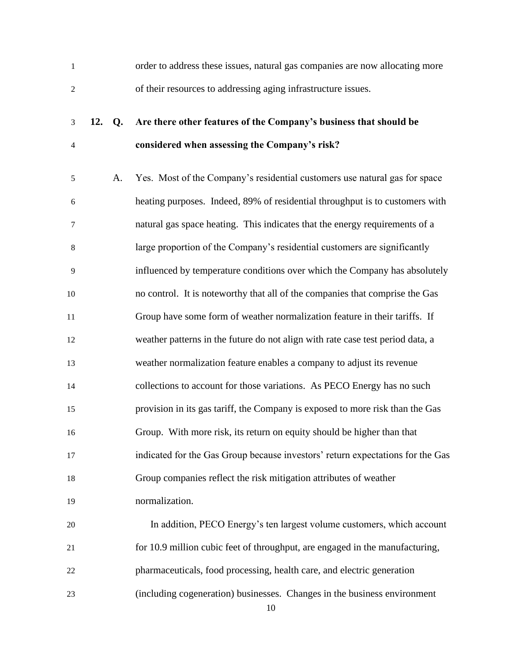order to address these issues, natural gas companies are now allocating more of their resources to addressing aging infrastructure issues.

## **12. Q. Are there other features of the Company's business that should be considered when assessing the Company's risk?**

 A. Yes. Most of the Company's residential customers use natural gas for space heating purposes. Indeed, 89% of residential throughput is to customers with natural gas space heating. This indicates that the energy requirements of a large proportion of the Company's residential customers are significantly influenced by temperature conditions over which the Company has absolutely no control. It is noteworthy that all of the companies that comprise the Gas Group have some form of weather normalization feature in their tariffs. If weather patterns in the future do not align with rate case test period data, a weather normalization feature enables a company to adjust its revenue 14 collections to account for those variations. As PECO Energy has no such provision in its gas tariff, the Company is exposed to more risk than the Gas Group. With more risk, its return on equity should be higher than that indicated for the Gas Group because investors' return expectations for the Gas Group companies reflect the risk mitigation attributes of weather normalization. In addition, PECO Energy's ten largest volume customers, which account for 10.9 million cubic feet of throughput, are engaged in the manufacturing,

pharmaceuticals, food processing, health care, and electric generation

(including cogeneration) businesses. Changes in the business environment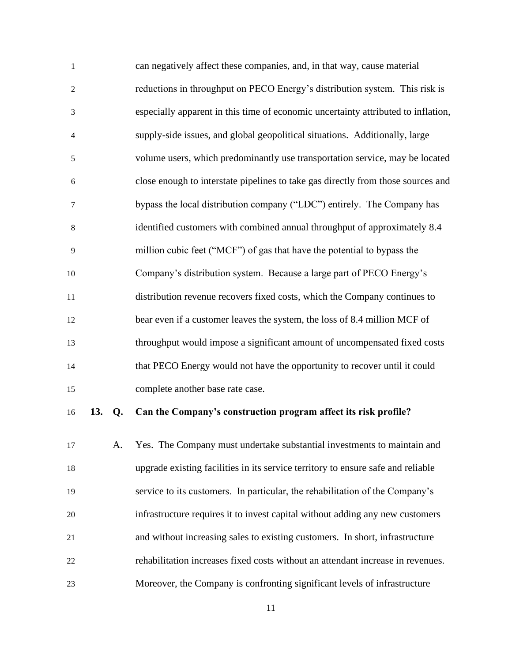| $\mathbf{1}$   | can negatively affect these companies, and, in that way, cause material           |
|----------------|-----------------------------------------------------------------------------------|
| 2              | reductions in throughput on PECO Energy's distribution system. This risk is       |
| 3              | especially apparent in this time of economic uncertainty attributed to inflation, |
| $\overline{4}$ | supply-side issues, and global geopolitical situations. Additionally, large       |
| 5              | volume users, which predominantly use transportation service, may be located      |
| 6              | close enough to interstate pipelines to take gas directly from those sources and  |
| 7              | bypass the local distribution company ("LDC") entirely. The Company has           |
| 8              | identified customers with combined annual throughput of approximately 8.4         |
| 9              | million cubic feet ("MCF") of gas that have the potential to bypass the           |
| 10             | Company's distribution system. Because a large part of PECO Energy's              |
| 11             | distribution revenue recovers fixed costs, which the Company continues to         |
| 12             | bear even if a customer leaves the system, the loss of 8.4 million MCF of         |
| 13             | throughput would impose a significant amount of uncompensated fixed costs         |
| 14             | that PECO Energy would not have the opportunity to recover until it could         |
| 15             | complete another base rate case.                                                  |
|                |                                                                                   |

### **13. Q. Can the Company's construction program affect its risk profile?**

 A. Yes. The Company must undertake substantial investments to maintain and upgrade existing facilities in its service territory to ensure safe and reliable service to its customers. In particular, the rehabilitation of the Company's infrastructure requires it to invest capital without adding any new customers and without increasing sales to existing customers. In short, infrastructure rehabilitation increases fixed costs without an attendant increase in revenues. Moreover, the Company is confronting significant levels of infrastructure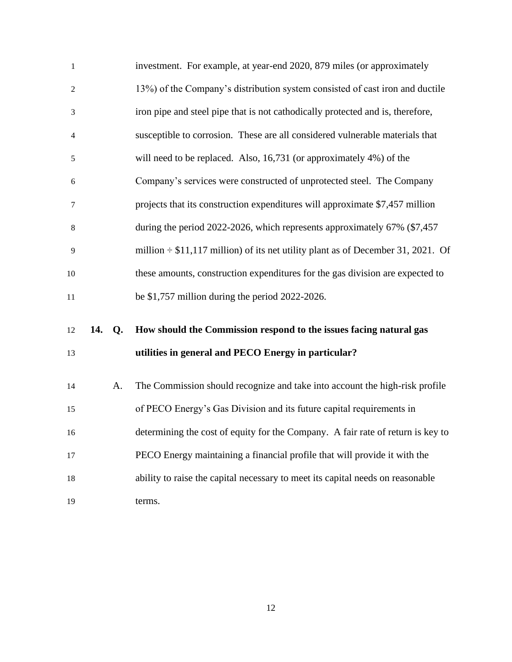| $\mathbf{1}$   |        | investment. For example, at year-end 2020, 879 miles (or approximately                |
|----------------|--------|---------------------------------------------------------------------------------------|
| $\overline{c}$ |        | 13%) of the Company's distribution system consisted of cast iron and ductile          |
| $\mathfrak{Z}$ |        | iron pipe and steel pipe that is not cathodically protected and is, therefore,        |
| $\overline{4}$ |        | susceptible to corrosion. These are all considered vulnerable materials that          |
| 5              |        | will need to be replaced. Also, 16,731 (or approximately 4%) of the                   |
| 6              |        | Company's services were constructed of unprotected steel. The Company                 |
| $\tau$         |        | projects that its construction expenditures will approximate \$7,457 million          |
| 8              |        | during the period 2022-2026, which represents approximately 67% (\$7,457              |
| 9              |        | million $\div$ \$11,117 million) of its net utility plant as of December 31, 2021. Of |
| 10             |        | these amounts, construction expenditures for the gas division are expected to         |
| 11             |        | be $$1,757$ million during the period 2022-2026.                                      |
| 12             | 14. Q. | How should the Commission respond to the issues facing natural gas                    |
| 13             |        | utilities in general and PECO Energy in particular?                                   |
| 14             | A.     | The Commission should recognize and take into account the high-risk profile           |
| 15             |        | of PECO Energy's Gas Division and its future capital requirements in                  |
| 16             |        | determining the cost of equity for the Company. A fair rate of return is key to       |
| 17             |        | PECO Energy maintaining a financial profile that will provide it with the             |
| 18             |        | ability to raise the capital necessary to meet its capital needs on reasonable        |
| 19             |        | terms.                                                                                |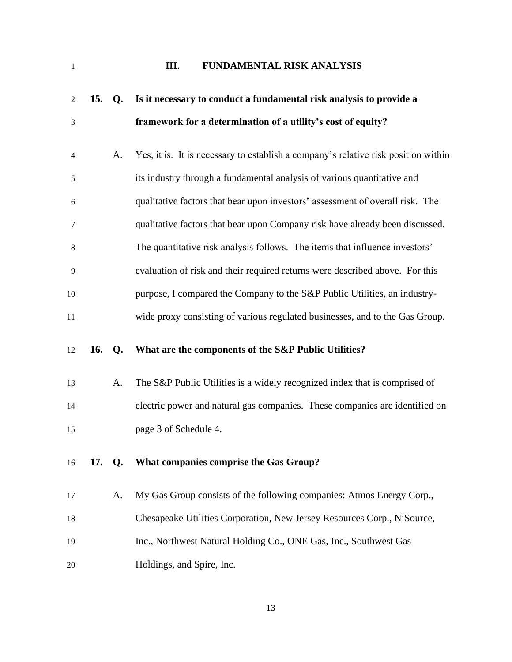<span id="page-16-0"></span>

## **III. FUNDAMENTAL RISK ANALYSIS**

| 2      | 15. | Q <sub>r</sub> | Is it necessary to conduct a fundamental risk analysis to provide a                |
|--------|-----|----------------|------------------------------------------------------------------------------------|
| 3      |     |                | framework for a determination of a utility's cost of equity?                       |
| 4      |     | A.             | Yes, it is. It is necessary to establish a company's relative risk position within |
| 5      |     |                | its industry through a fundamental analysis of various quantitative and            |
| 6      |     |                | qualitative factors that bear upon investors' assessment of overall risk. The      |
| $\tau$ |     |                | qualitative factors that bear upon Company risk have already been discussed.       |
| 8      |     |                | The quantitative risk analysis follows. The items that influence investors'        |
| 9      |     |                | evaluation of risk and their required returns were described above. For this       |
| 10     |     |                | purpose, I compared the Company to the S&P Public Utilities, an industry-          |
| 11     |     |                | wide proxy consisting of various regulated businesses, and to the Gas Group.       |
|        |     |                |                                                                                    |
| 12     | 16. | $Q_{\rm}$      | What are the components of the S&P Public Utilities?                               |
| 13     |     | A.             | The S&P Public Utilities is a widely recognized index that is comprised of         |
| 14     |     |                | electric power and natural gas companies. These companies are identified on        |
| 15     |     |                | page 3 of Schedule 4.                                                              |
| 16     | 17. | Q.             | What companies comprise the Gas Group?                                             |
| 17     |     | A.             | My Gas Group consists of the following companies: Atmos Energy Corp.,              |
| 18     |     |                | Chesapeake Utilities Corporation, New Jersey Resources Corp., NiSource,            |
| 19     |     |                | Inc., Northwest Natural Holding Co., ONE Gas, Inc., Southwest Gas                  |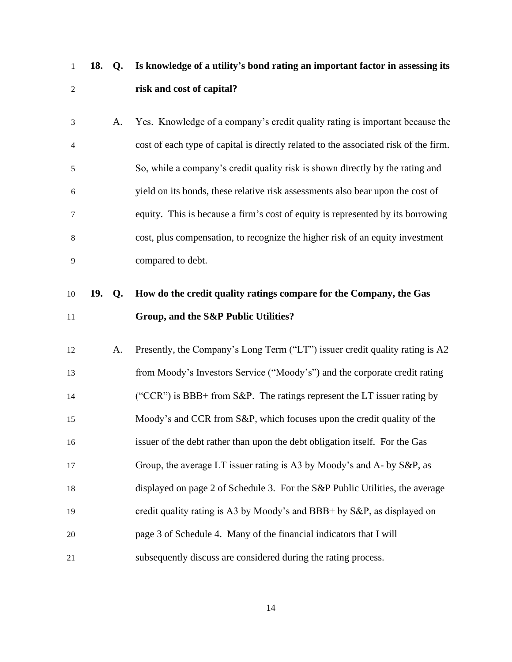**18. Q. Is knowledge of a utility's bond rating an important factor in assessing its risk and cost of capital?**

 A. Yes. Knowledge of a company's credit quality rating is important because the cost of each type of capital is directly related to the associated risk of the firm. So, while a company's credit quality risk is shown directly by the rating and yield on its bonds, these relative risk assessments also bear upon the cost of equity. This is because a firm's cost of equity is represented by its borrowing cost, plus compensation, to recognize the higher risk of an equity investment compared to debt.

# **19. Q. How do the credit quality ratings compare for the Company, the Gas Group, and the S&P Public Utilities?**

| 12 | А. | Presently, the Company's Long Term ("LT") issuer credit quality rating is A2 |
|----|----|------------------------------------------------------------------------------|
| 13 |    | from Moody's Investors Service ("Moody's") and the corporate credit rating   |
| 14 |    | ("CCR") is BBB+ from S&P. The ratings represent the LT issuer rating by      |
| 15 |    | Moody's and CCR from S&P, which focuses upon the credit quality of the       |
| 16 |    | issuer of the debt rather than upon the debt obligation itself. For the Gas  |
| 17 |    | Group, the average LT issuer rating is A3 by Moody's and A- by S&P, as       |
| 18 |    | displayed on page 2 of Schedule 3. For the S&P Public Utilities, the average |
| 19 |    | credit quality rating is A3 by Moody's and BBB+ by S&P, as displayed on      |
| 20 |    | page 3 of Schedule 4. Many of the financial indicators that I will           |
| 21 |    | subsequently discuss are considered during the rating process.               |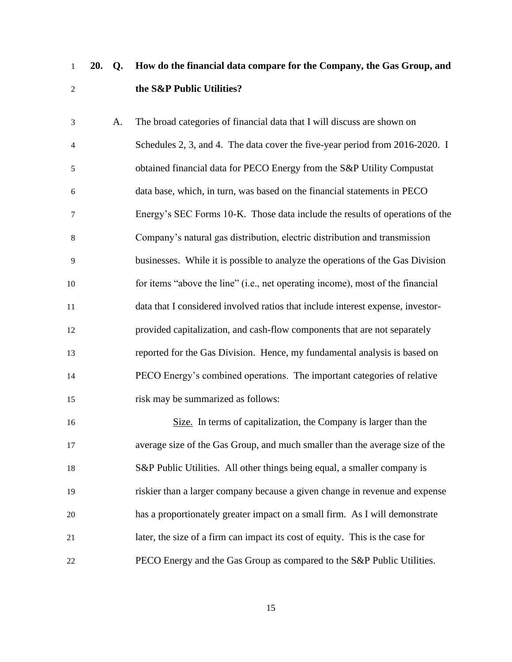## **20. Q. How do the financial data compare for the Company, the Gas Group, and the S&P Public Utilities?**

 A. The broad categories of financial data that I will discuss are shown on Schedules 2, 3, and 4. The data cover the five-year period from 2016-2020. I obtained financial data for PECO Energy from the S&P Utility Compustat data base, which, in turn, was based on the financial statements in PECO Energy's SEC Forms 10-K. Those data include the results of operations of the Company's natural gas distribution, electric distribution and transmission businesses. While it is possible to analyze the operations of the Gas Division for items "above the line" (i.e., net operating income), most of the financial data that I considered involved ratios that include interest expense, investor- provided capitalization, and cash-flow components that are not separately reported for the Gas Division. Hence, my fundamental analysis is based on PECO Energy's combined operations. The important categories of relative risk may be summarized as follows:

 Size. In terms of capitalization, the Company is larger than the average size of the Gas Group, and much smaller than the average size of the S&P Public Utilities. All other things being equal, a smaller company is riskier than a larger company because a given change in revenue and expense has a proportionately greater impact on a small firm. As I will demonstrate later, the size of a firm can impact its cost of equity. This is the case for PECO Energy and the Gas Group as compared to the S&P Public Utilities.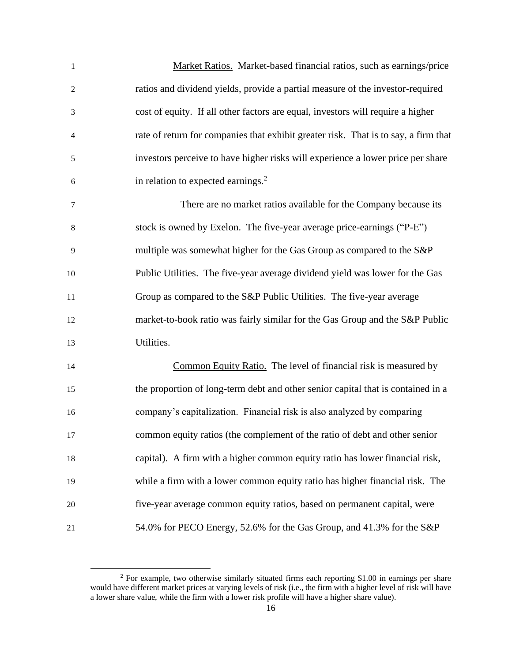| $\mathbf{1}$   | Market Ratios. Market-based financial ratios, such as earnings/price                |
|----------------|-------------------------------------------------------------------------------------|
| $\overline{c}$ | ratios and dividend yields, provide a partial measure of the investor-required      |
| 3              | cost of equity. If all other factors are equal, investors will require a higher     |
| $\overline{4}$ | rate of return for companies that exhibit greater risk. That is to say, a firm that |
| 5              | investors perceive to have higher risks will experience a lower price per share     |
| 6              | in relation to expected earnings. <sup>2</sup>                                      |
| 7              | There are no market ratios available for the Company because its                    |
| 8              | stock is owned by Exelon. The five-year average price-earnings ("P-E")              |
| 9              | multiple was somewhat higher for the Gas Group as compared to the S&P               |
| 10             | Public Utilities. The five-year average dividend yield was lower for the Gas        |
| 11             | Group as compared to the S&P Public Utilities. The five-year average                |
| 12             | market-to-book ratio was fairly similar for the Gas Group and the S&P Public        |
| 13             | Utilities.                                                                          |
| 14             | Common Equity Ratio. The level of financial risk is measured by                     |
| 15             | the proportion of long-term debt and other senior capital that is contained in a    |
| 16             | company's capitalization. Financial risk is also analyzed by comparing              |
| 17             | common equity ratios (the complement of the ratio of debt and other senior          |
| 18             | capital). A firm with a higher common equity ratio has lower financial risk,        |
| 19             | while a firm with a lower common equity ratio has higher financial risk. The        |
| 20             | five-year average common equity ratios, based on permanent capital, were            |
| 21             | 54.0% for PECO Energy, 52.6% for the Gas Group, and 41.3% for the S&P               |

 For example, two otherwise similarly situated firms each reporting \$1.00 in earnings per share would have different market prices at varying levels of risk (i.e., the firm with a higher level of risk will have a lower share value, while the firm with a lower risk profile will have a higher share value).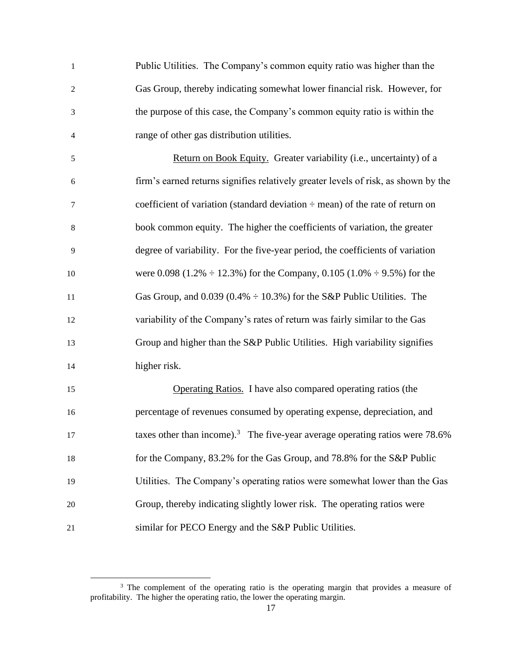| $\mathbf{1}$             | Public Utilities. The Company's common equity ratio was higher than the                     |
|--------------------------|---------------------------------------------------------------------------------------------|
| $\overline{c}$           | Gas Group, thereby indicating somewhat lower financial risk. However, for                   |
| 3                        | the purpose of this case, the Company's common equity ratio is within the                   |
| $\overline{\mathcal{A}}$ | range of other gas distribution utilities.                                                  |
| 5                        | Return on Book Equity. Greater variability (i.e., uncertainty) of a                         |
| 6                        | firm's earned returns signifies relatively greater levels of risk, as shown by the          |
| $\tau$                   | coefficient of variation (standard deviation $\div$ mean) of the rate of return on          |
| $8\,$                    | book common equity. The higher the coefficients of variation, the greater                   |
| 9                        | degree of variability. For the five-year period, the coefficients of variation              |
| 10                       | were 0.098 (1.2% $\div$ 12.3%) for the Company, 0.105 (1.0% $\div$ 9.5%) for the            |
| 11                       | Gas Group, and 0.039 (0.4% $\div$ 10.3%) for the S&P Public Utilities. The                  |
| 12                       | variability of the Company's rates of return was fairly similar to the Gas                  |
| 13                       | Group and higher than the S&P Public Utilities. High variability signifies                  |
| 14                       | higher risk.                                                                                |
| 15                       | <b>Operating Ratios.</b> I have also compared operating ratios (the                         |
| 16                       | percentage of revenues consumed by operating expense, depreciation, and                     |
| 17                       | taxes other than income). <sup>3</sup> The five-year average operating ratios were $78.6\%$ |
| 18                       | for the Company, 83.2% for the Gas Group, and 78.8% for the S&P Public                      |
| 19                       | Utilities. The Company's operating ratios were somewhat lower than the Gas                  |
| 20                       | Group, thereby indicating slightly lower risk. The operating ratios were                    |
| 21                       | similar for PECO Energy and the S&P Public Utilities.                                       |

<sup>&</sup>lt;sup>3</sup> The complement of the operating ratio is the operating margin that provides a measure of profitability. The higher the operating ratio, the lower the operating margin.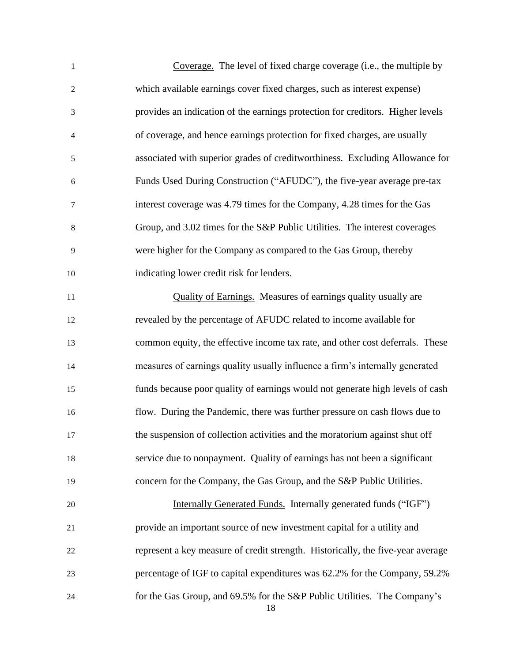| $\mathbf{1}$ | Coverage. The level of fixed charge coverage (i.e., the multiple by             |
|--------------|---------------------------------------------------------------------------------|
| $\sqrt{2}$   | which available earnings cover fixed charges, such as interest expense)         |
| 3            | provides an indication of the earnings protection for creditors. Higher levels  |
| 4            | of coverage, and hence earnings protection for fixed charges, are usually       |
| 5            | associated with superior grades of creditworthiness. Excluding Allowance for    |
| 6            | Funds Used During Construction ("AFUDC"), the five-year average pre-tax         |
| 7            | interest coverage was 4.79 times for the Company, 4.28 times for the Gas        |
| $\,8$        | Group, and 3.02 times for the S&P Public Utilities. The interest coverages      |
| 9            | were higher for the Company as compared to the Gas Group, thereby               |
| 10           | indicating lower credit risk for lenders.                                       |
| 11           | Quality of Earnings. Measures of earnings quality usually are                   |
| 12           | revealed by the percentage of AFUDC related to income available for             |
| 13           | common equity, the effective income tax rate, and other cost deferrals. These   |
| 14           | measures of earnings quality usually influence a firm's internally generated    |
| 15           | funds because poor quality of earnings would not generate high levels of cash   |
| 16           | flow. During the Pandemic, there was further pressure on cash flows due to      |
| 17           | the suspension of collection activities and the moratorium against shut off     |
| 18           | service due to nonpayment. Quality of earnings has not been a significant       |
| 19           | concern for the Company, the Gas Group, and the S&P Public Utilities.           |
| 20           | Internally Generated Funds. Internally generated funds ("IGF")                  |
| 21           | provide an important source of new investment capital for a utility and         |
| 22           | represent a key measure of credit strength. Historically, the five-year average |
| 23           | percentage of IGF to capital expenditures was 62.2% for the Company, 59.2%      |
| 24           | for the Gas Group, and 69.5% for the S&P Public Utilities. The Company's<br>18  |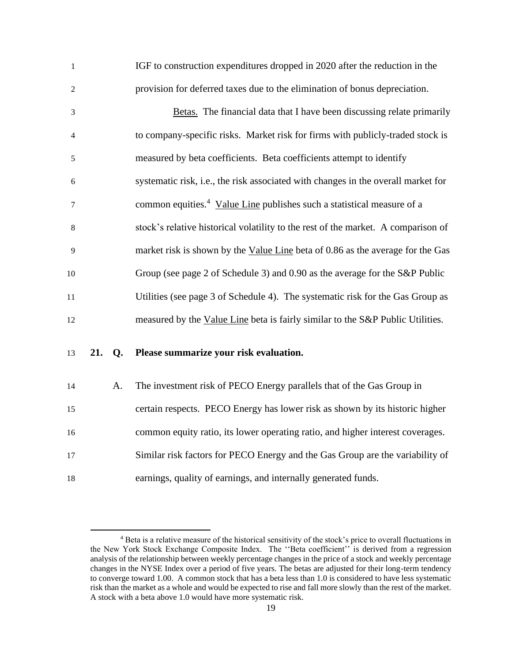| $\mathbf{1}$   |     |    | IGF to construction expenditures dropped in 2020 after the reduction in the        |
|----------------|-----|----|------------------------------------------------------------------------------------|
| 2              |     |    | provision for deferred taxes due to the elimination of bonus depreciation.         |
| $\mathfrak{Z}$ |     |    | Betas. The financial data that I have been discussing relate primarily             |
| 4              |     |    | to company-specific risks. Market risk for firms with publicly-traded stock is     |
| 5              |     |    | measured by beta coefficients. Beta coefficients attempt to identify               |
| $\sqrt{6}$     |     |    | systematic risk, i.e., the risk associated with changes in the overall market for  |
| 7              |     |    | common equities. <sup>4</sup> Value Line publishes such a statistical measure of a |
| 8              |     |    | stock's relative historical volatility to the rest of the market. A comparison of  |
| 9              |     |    | market risk is shown by the Value Line beta of 0.86 as the average for the Gas     |
| 10             |     |    | Group (see page 2 of Schedule 3) and 0.90 as the average for the S&P Public        |
| 11             |     |    | Utilities (see page 3 of Schedule 4). The systematic risk for the Gas Group as     |
| 12             |     |    | measured by the Value Line beta is fairly similar to the S&P Public Utilities.     |
| 13             | 21. | Q. | Please summarize your risk evaluation.                                             |
| 14             |     | A. | The investment risk of PECO Energy parallels that of the Gas Group in              |
| 15             |     |    | certain respects. PECO Energy has lower risk as shown by its historic higher       |
| 16             |     |    | common equity ratio, its lower operating ratio, and higher interest coverages.     |
| 17             |     |    | Similar risk factors for PECO Energy and the Gas Group are the variability of      |
| 18             |     |    | earnings, quality of earnings, and internally generated funds.                     |

<sup>&</sup>lt;sup>4</sup> Beta is a relative measure of the historical sensitivity of the stock's price to overall fluctuations in the New York Stock Exchange Composite Index. The ''Beta coefficient'' is derived from a regression analysis of the relationship between weekly percentage changes in the price of a stock and weekly percentage changes in the NYSE Index over a period of five years. The betas are adjusted for their long-term tendency to converge toward 1.00. A common stock that has a beta less than 1.0 is considered to have less systematic risk than the market as a whole and would be expected to rise and fall more slowly than the rest of the market. A stock with a beta above 1.0 would have more systematic risk.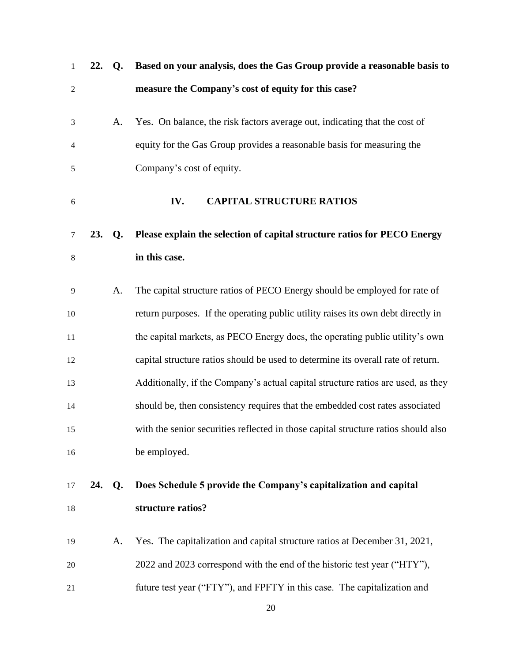<span id="page-23-0"></span>

| $\mathbf{1}$   | 22. | Q <sub>r</sub> | Based on your analysis, does the Gas Group provide a reasonable basis to           |
|----------------|-----|----------------|------------------------------------------------------------------------------------|
| $\overline{c}$ |     |                | measure the Company's cost of equity for this case?                                |
| 3              |     | A.             | Yes. On balance, the risk factors average out, indicating that the cost of         |
| 4              |     |                | equity for the Gas Group provides a reasonable basis for measuring the             |
| 5              |     |                | Company's cost of equity.                                                          |
| 6              |     |                | <b>CAPITAL STRUCTURE RATIOS</b><br>IV.                                             |
| $\tau$         | 23. | Q <sub>r</sub> | Please explain the selection of capital structure ratios for PECO Energy           |
| $\,8$          |     |                | in this case.                                                                      |
| 9              |     | A.             | The capital structure ratios of PECO Energy should be employed for rate of         |
| 10             |     |                | return purposes. If the operating public utility raises its own debt directly in   |
| 11             |     |                | the capital markets, as PECO Energy does, the operating public utility's own       |
| 12             |     |                | capital structure ratios should be used to determine its overall rate of return.   |
| 13             |     |                | Additionally, if the Company's actual capital structure ratios are used, as they   |
| 14             |     |                | should be, then consistency requires that the embedded cost rates associated       |
| 15             |     |                | with the senior securities reflected in those capital structure ratios should also |
| 16             |     |                | be employed.                                                                       |
| 17             | 24. | $Q_{\rm}$      | Does Schedule 5 provide the Company's capitalization and capital                   |
| 18             |     |                | structure ratios?                                                                  |
| 19             |     | A.             | Yes. The capitalization and capital structure ratios at December 31, 2021,         |
| 20             |     |                | 2022 and 2023 correspond with the end of the historic test year ("HTY"),           |
| 21             |     |                | future test year ("FTY"), and FPFTY in this case. The capitalization and           |
|                |     |                | 20                                                                                 |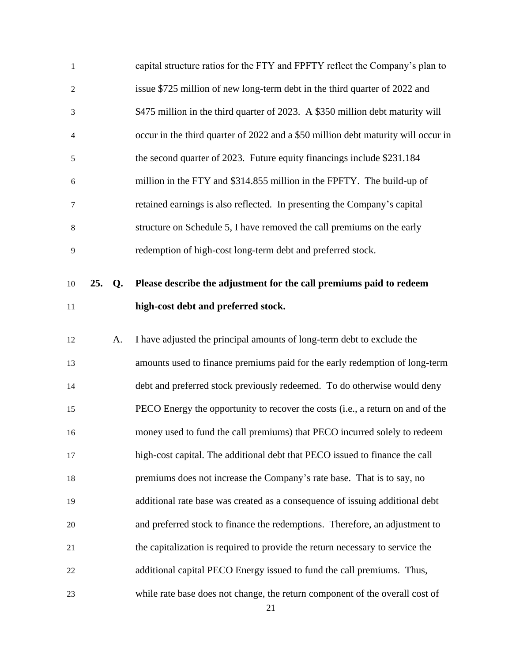| $\mathbf{1}$         |     |                | capital structure ratios for the FTY and FPFTY reflect the Company's plan to      |
|----------------------|-----|----------------|-----------------------------------------------------------------------------------|
| $\overline{c}$       |     |                | issue \$725 million of new long-term debt in the third quarter of 2022 and        |
| $\mathfrak{Z}$       |     |                | \$475 million in the third quarter of 2023. A \$350 million debt maturity will    |
| 4                    |     |                | occur in the third quarter of 2022 and a \$50 million debt maturity will occur in |
| 5                    |     |                | the second quarter of 2023. Future equity financings include \$231.184            |
| 6                    |     |                | million in the FTY and \$314.855 million in the FPFTY. The build-up of            |
| 7                    |     |                | retained earnings is also reflected. In presenting the Company's capital          |
| 8                    |     |                | structure on Schedule 5, I have removed the call premiums on the early            |
| 9                    |     |                | redemption of high-cost long-term debt and preferred stock.                       |
|                      |     |                |                                                                                   |
| 10                   | 25. | Q <sub>r</sub> | Please describe the adjustment for the call premiums paid to redeem               |
| 11                   |     |                | high-cost debt and preferred stock.                                               |
| 12                   |     | A.             | I have adjusted the principal amounts of long-term debt to exclude the            |
|                      |     |                |                                                                                   |
| 13                   |     |                | amounts used to finance premiums paid for the early redemption of long-term       |
| 14                   |     |                | debt and preferred stock previously redeemed. To do otherwise would deny          |
|                      |     |                | PECO Energy the opportunity to recover the costs (i.e., a return on and of the    |
|                      |     |                | money used to fund the call premiums) that PECO incurred solely to redeem         |
|                      |     |                | high-cost capital. The additional debt that PECO issued to finance the call       |
| 18                   |     |                | premiums does not increase the Company's rate base. That is to say, no            |
| 19                   |     |                | additional rate base was created as a consequence of issuing additional debt      |
| 15<br>16<br>17<br>20 |     |                | and preferred stock to finance the redemptions. Therefore, an adjustment to       |
| 21                   |     |                | the capitalization is required to provide the return necessary to service the     |
| 22                   |     |                | additional capital PECO Energy issued to fund the call premiums. Thus,            |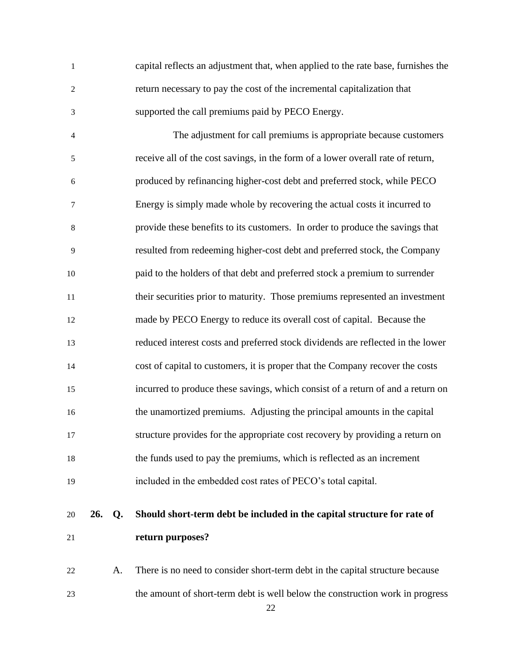capital reflects an adjustment that, when applied to the rate base, furnishes the return necessary to pay the cost of the incremental capitalization that supported the call premiums paid by PECO Energy. The adjustment for call premiums is appropriate because customers receive all of the cost savings, in the form of a lower overall rate of return, produced by refinancing higher-cost debt and preferred stock, while PECO Energy is simply made whole by recovering the actual costs it incurred to provide these benefits to its customers. In order to produce the savings that resulted from redeeming higher-cost debt and preferred stock, the Company paid to the holders of that debt and preferred stock a premium to surrender their securities prior to maturity. Those premiums represented an investment made by PECO Energy to reduce its overall cost of capital. Because the reduced interest costs and preferred stock dividends are reflected in the lower cost of capital to customers, it is proper that the Company recover the costs incurred to produce these savings, which consist of a return of and a return on the unamortized premiums. Adjusting the principal amounts in the capital structure provides for the appropriate cost recovery by providing a return on the funds used to pay the premiums, which is reflected as an increment

- included in the embedded cost rates of PECO's total capital.
- **26. Q. Should short-term debt be included in the capital structure for rate of return purposes?**

 A. There is no need to consider short-term debt in the capital structure because the amount of short-term debt is well below the construction work in progress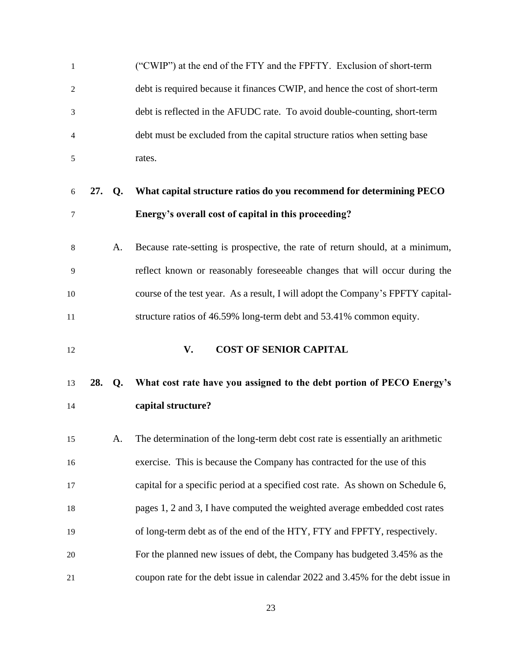<span id="page-26-0"></span>

| $\mathbf{1}$         |     |    | ("CWIP") at the end of the FTY and the FPFTY. Exclusion of short-term           |
|----------------------|-----|----|---------------------------------------------------------------------------------|
| $\overline{c}$       |     |    | debt is required because it finances CWIP, and hence the cost of short-term     |
| 3                    |     |    | debt is reflected in the AFUDC rate. To avoid double-counting, short-term       |
| $\overline{4}$       |     |    | debt must be excluded from the capital structure ratios when setting base       |
| 5                    |     |    | rates.                                                                          |
| 6                    | 27. | Q. | What capital structure ratios do you recommend for determining PECO             |
| 7                    |     |    | Energy's overall cost of capital in this proceeding?                            |
| 8                    |     | A. | Because rate-setting is prospective, the rate of return should, at a minimum,   |
| 9                    |     |    | reflect known or reasonably foreseeable changes that will occur during the      |
| 10                   |     |    | course of the test year. As a result, I will adopt the Company's FPFTY capital- |
| 11                   |     |    | structure ratios of 46.59% long-term debt and 53.41% common equity.             |
|                      |     |    |                                                                                 |
| 12                   |     |    | <b>COST OF SENIOR CAPITAL</b><br>V.                                             |
| 13                   | 28. | Q. | What cost rate have you assigned to the debt portion of PECO Energy's           |
| 14                   |     |    | capital structure?                                                              |
| 15                   |     | A. | The determination of the long-term debt cost rate is essentially an arithmetic  |
|                      |     |    | exercise. This is because the Company has contracted for the use of this        |
|                      |     |    | capital for a specific period at a specified cost rate. As shown on Schedule 6, |
|                      |     |    | pages 1, 2 and 3, I have computed the weighted average embedded cost rates      |
| 16<br>17<br>18<br>19 |     |    | of long-term debt as of the end of the HTY, FTY and FPFTY, respectively.        |
| 20                   |     |    | For the planned new issues of debt, the Company has budgeted 3.45% as the       |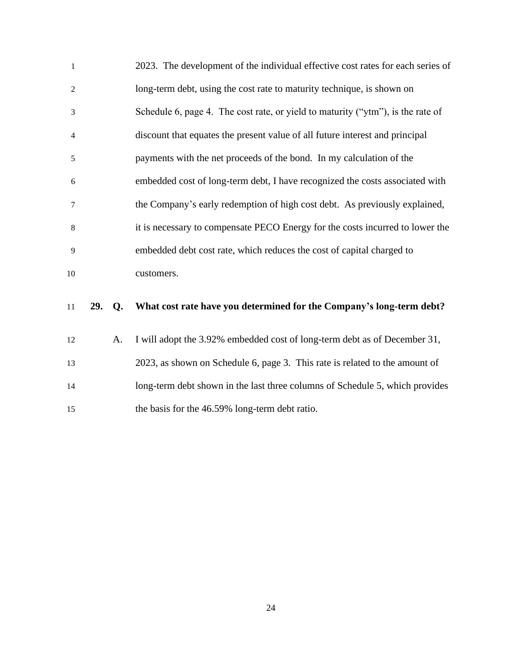| $\mathbf{1}$   | 2023. The development of the individual effective cost rates for each series of |
|----------------|---------------------------------------------------------------------------------|
| 2              | long-term debt, using the cost rate to maturity technique, is shown on          |
| 3              | Schedule 6, page 4. The cost rate, or yield to maturity ("ytm"), is the rate of |
| $\overline{4}$ | discount that equates the present value of all future interest and principal    |
| 5              | payments with the net proceeds of the bond. In my calculation of the            |
| 6              | embedded cost of long-term debt, I have recognized the costs associated with    |
| $\overline{7}$ | the Company's early redemption of high cost debt. As previously explained,      |
| 8              | it is necessary to compensate PECO Energy for the costs incurred to lower the   |
| 9              | embedded debt cost rate, which reduces the cost of capital charged to           |
| 10             | customers.                                                                      |

## **29. Q. What cost rate have you determined for the Company's long-term debt?**

 A. I will adopt the 3.92% embedded cost of long-term debt as of December 31, 2023, as shown on Schedule 6, page 3. This rate is related to the amount of long-term debt shown in the last three columns of Schedule 5, which provides the basis for the 46.59% long-term debt ratio.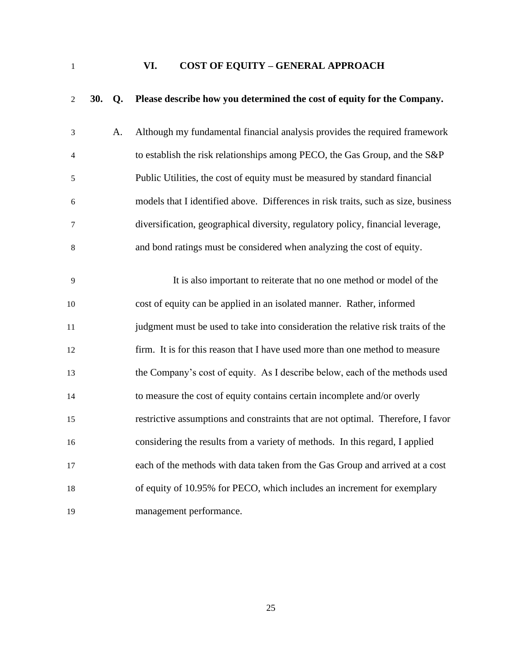<span id="page-28-0"></span>

**VI. COST OF EQUITY – GENERAL APPROACH**

| 2  | 30. | Q <sub>r</sub> | Please describe how you determined the cost of equity for the Company.             |
|----|-----|----------------|------------------------------------------------------------------------------------|
| 3  |     | A.             | Although my fundamental financial analysis provides the required framework         |
| 4  |     |                | to establish the risk relationships among PECO, the Gas Group, and the S&P         |
| 5  |     |                | Public Utilities, the cost of equity must be measured by standard financial        |
| 6  |     |                | models that I identified above. Differences in risk traits, such as size, business |
| 7  |     |                | diversification, geographical diversity, regulatory policy, financial leverage,    |
| 8  |     |                | and bond ratings must be considered when analyzing the cost of equity.             |
|    |     |                |                                                                                    |
| 9  |     |                | It is also important to reiterate that no one method or model of the               |
| 10 |     |                | cost of equity can be applied in an isolated manner. Rather, informed              |
| 11 |     |                | judgment must be used to take into consideration the relative risk traits of the   |
| 12 |     |                | firm. It is for this reason that I have used more than one method to measure       |
| 13 |     |                | the Company's cost of equity. As I describe below, each of the methods used        |
| 14 |     |                | to measure the cost of equity contains certain incomplete and/or overly            |
| 15 |     |                | restrictive assumptions and constraints that are not optimal. Therefore, I favor   |
| 16 |     |                | considering the results from a variety of methods. In this regard, I applied       |
| 17 |     |                | each of the methods with data taken from the Gas Group and arrived at a cost       |
| 18 |     |                | of equity of 10.95% for PECO, which includes an increment for exemplary            |
| 19 |     |                | management performance.                                                            |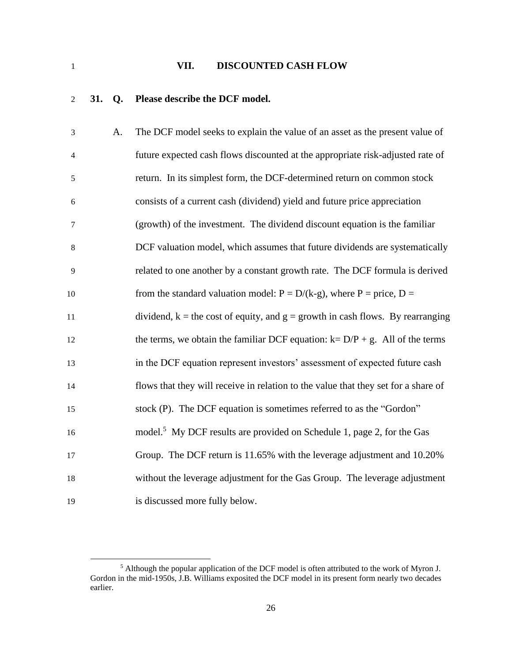### <span id="page-29-0"></span>**VII. DISCOUNTED CASH FLOW**

## **31. Q. Please describe the DCF model.**

| 3              | A. | The DCF model seeks to explain the value of an asset as the present value of       |
|----------------|----|------------------------------------------------------------------------------------|
| $\overline{4}$ |    | future expected cash flows discounted at the appropriate risk-adjusted rate of     |
| 5              |    | return. In its simplest form, the DCF-determined return on common stock            |
| 6              |    | consists of a current cash (dividend) yield and future price appreciation          |
| 7              |    | (growth) of the investment. The dividend discount equation is the familiar         |
| 8              |    | DCF valuation model, which assumes that future dividends are systematically        |
| 9              |    | related to one another by a constant growth rate. The DCF formula is derived       |
| 10             |    | from the standard valuation model: $P = D/(k-g)$ , where $P = \text{price}, D =$   |
| 11             |    | dividend, $k =$ the cost of equity, and $g =$ growth in cash flows. By rearranging |
| 12             |    | the terms, we obtain the familiar DCF equation: $k = D/P + g$ . All of the terms   |
| 13             |    | in the DCF equation represent investors' assessment of expected future cash        |
| 14             |    | flows that they will receive in relation to the value that they set for a share of |
| 15             |    | stock (P). The DCF equation is sometimes referred to as the "Gordon"               |
| 16             |    | model. <sup>5</sup> My DCF results are provided on Schedule 1, page 2, for the Gas |
| 17             |    | Group. The DCF return is 11.65% with the leverage adjustment and 10.20%            |
| 18             |    | without the leverage adjustment for the Gas Group. The leverage adjustment         |
| 19             |    | is discussed more fully below.                                                     |

 Although the popular application of the DCF model is often attributed to the work of Myron J. Gordon in the mid-1950s, J.B. Williams exposited the DCF model in its present form nearly two decades earlier.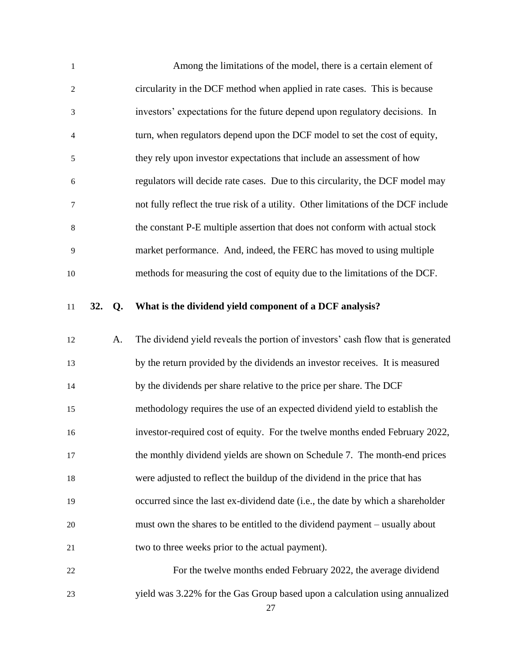| $\mathbf{1}$     |     |                | Among the limitations of the model, there is a certain element of                  |
|------------------|-----|----------------|------------------------------------------------------------------------------------|
| $\sqrt{2}$       |     |                | circularity in the DCF method when applied in rate cases. This is because          |
| $\mathfrak{Z}$   |     |                | investors' expectations for the future depend upon regulatory decisions. In        |
| $\overline{4}$   |     |                | turn, when regulators depend upon the DCF model to set the cost of equity,         |
| $\sqrt{5}$       |     |                | they rely upon investor expectations that include an assessment of how             |
| $\boldsymbol{6}$ |     |                | regulators will decide rate cases. Due to this circularity, the DCF model may      |
| $\boldsymbol{7}$ |     |                | not fully reflect the true risk of a utility. Other limitations of the DCF include |
| $\,8\,$          |     |                | the constant P-E multiple assertion that does not conform with actual stock        |
| 9                |     |                | market performance. And, indeed, the FERC has moved to using multiple              |
| 10               |     |                | methods for measuring the cost of equity due to the limitations of the DCF.        |
| 11               | 32. | Q <sub>r</sub> | What is the dividend yield component of a DCF analysis?                            |
|                  |     |                |                                                                                    |
|                  |     |                |                                                                                    |
| 12               |     | A.             | The dividend yield reveals the portion of investors' cash flow that is generated   |
| 13               |     |                | by the return provided by the dividends an investor receives. It is measured       |
| 14               |     |                | by the dividends per share relative to the price per share. The DCF                |
| 15               |     |                | methodology requires the use of an expected dividend yield to establish the        |
| 16               |     |                | investor-required cost of equity. For the twelve months ended February 2022,       |
| 17               |     |                | the monthly dividend yields are shown on Schedule 7. The month-end prices          |
| 18               |     |                | were adjusted to reflect the buildup of the dividend in the price that has         |
| 19               |     |                | occurred since the last ex-dividend date (i.e., the date by which a shareholder    |
| 20               |     |                | must own the shares to be entitled to the dividend payment – usually about         |
| 21               |     |                | two to three weeks prior to the actual payment).                                   |
| 22               |     |                | For the twelve months ended February 2022, the average dividend                    |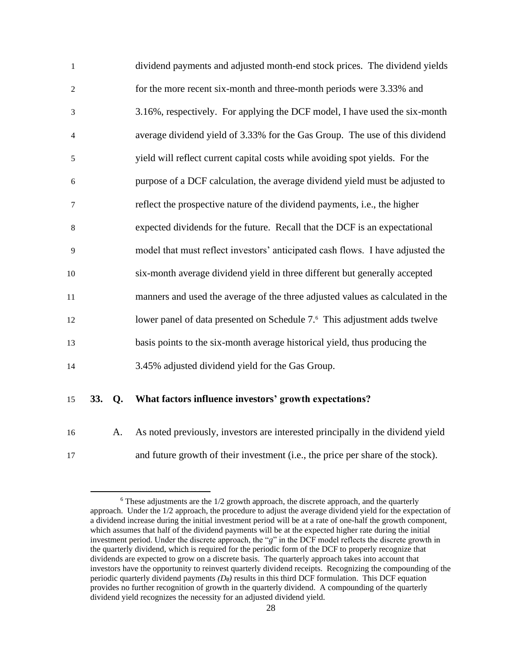| $\mathbf{1}$   | dividend payments and adjusted month-end stock prices. The dividend yields            |
|----------------|---------------------------------------------------------------------------------------|
| $\overline{2}$ | for the more recent six-month and three-month periods were 3.33% and                  |
| 3              | 3.16%, respectively. For applying the DCF model, I have used the six-month            |
| $\overline{4}$ | average dividend yield of 3.33% for the Gas Group. The use of this dividend           |
| 5              | yield will reflect current capital costs while avoiding spot yields. For the          |
| 6              | purpose of a DCF calculation, the average dividend yield must be adjusted to          |
| $\tau$         | reflect the prospective nature of the dividend payments, i.e., the higher             |
| 8              | expected dividends for the future. Recall that the DCF is an expectational            |
| 9              | model that must reflect investors' anticipated cash flows. I have adjusted the        |
| 10             | six-month average dividend yield in three different but generally accepted            |
| 11             | manners and used the average of the three adjusted values as calculated in the        |
| 12             | lower panel of data presented on Schedule 7. <sup>6</sup> This adjustment adds twelve |
| 13             | basis points to the six-month average historical yield, thus producing the            |
| 14             | 3.45% adjusted dividend yield for the Gas Group.                                      |

#### **33. Q. What factors influence investors' growth expectations?**

A. As noted previously, investors are interested principally in the dividend yield

and future growth of their investment (i.e., the price per share of the stock).

 These adjustments are the  $1/2$  growth approach, the discrete approach, and the quarterly approach. Under the 1/2 approach, the procedure to adjust the average dividend yield for the expectation of a dividend increase during the initial investment period will be at a rate of one-half the growth component, which assumes that half of the dividend payments will be at the expected higher rate during the initial investment period. Under the discrete approach, the "*g*" in the DCF model reflects the discrete growth in the quarterly dividend, which is required for the periodic form of the DCF to properly recognize that dividends are expected to grow on a discrete basis. The quarterly approach takes into account that investors have the opportunity to reinvest quarterly dividend receipts. Recognizing the compounding of the periodic quarterly dividend payments *(D0)* results in this third DCF formulation. This DCF equation provides no further recognition of growth in the quarterly dividend. A compounding of the quarterly dividend yield recognizes the necessity for an adjusted dividend yield.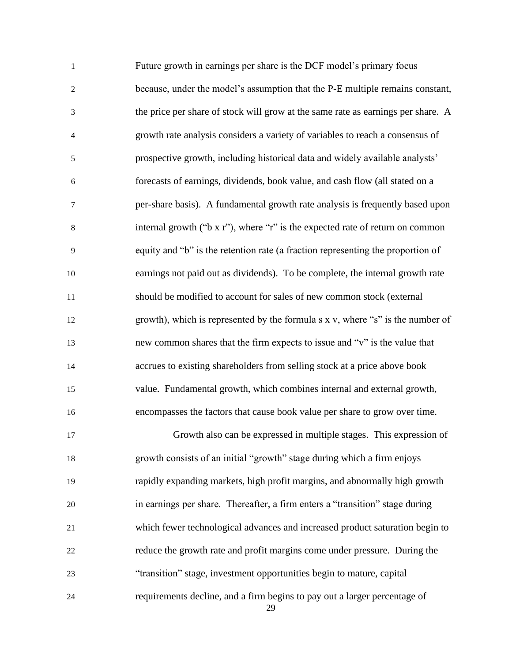| $\mathbf{1}$     | Future growth in earnings per share is the DCF model's primary focus             |
|------------------|----------------------------------------------------------------------------------|
| $\overline{2}$   | because, under the model's assumption that the P-E multiple remains constant,    |
| 3                | the price per share of stock will grow at the same rate as earnings per share. A |
| $\overline{4}$   | growth rate analysis considers a variety of variables to reach a consensus of    |
| 5                | prospective growth, including historical data and widely available analysts'     |
| $\boldsymbol{6}$ | forecasts of earnings, dividends, book value, and cash flow (all stated on a     |
| 7                | per-share basis). A fundamental growth rate analysis is frequently based upon    |
| $8\,$            | internal growth ("b x r"), where "r" is the expected rate of return on common    |
| 9                | equity and "b" is the retention rate (a fraction representing the proportion of  |
| 10               | earnings not paid out as dividends). To be complete, the internal growth rate    |
| 11               | should be modified to account for sales of new common stock (external            |
| 12               | growth), which is represented by the formula s x v, where "s" is the number of   |
| 13               | new common shares that the firm expects to issue and "v" is the value that       |
| 14               | accrues to existing shareholders from selling stock at a price above book        |
| 15               | value. Fundamental growth, which combines internal and external growth,          |
| 16               | encompasses the factors that cause book value per share to grow over time.       |
| 17               | Growth also can be expressed in multiple stages. This expression of              |
| 18               | growth consists of an initial "growth" stage during which a firm enjoys          |
| 19               | rapidly expanding markets, high profit margins, and abnormally high growth       |
| 20               | in earnings per share. Thereafter, a firm enters a "transition" stage during     |
| 21               | which fewer technological advances and increased product saturation begin to     |
| 22               | reduce the growth rate and profit margins come under pressure. During the        |
| 23               | "transition" stage, investment opportunities begin to mature, capital            |
| 24               | requirements decline, and a firm begins to pay out a larger percentage of<br>29  |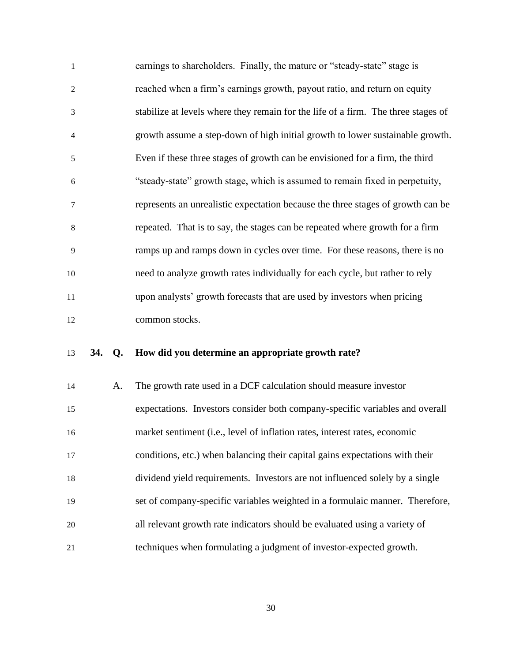earnings to shareholders. Finally, the mature or "steady-state" stage is reached when a firm's earnings growth, payout ratio, and return on equity stabilize at levels where they remain for the life of a firm. The three stages of growth assume a step-down of high initial growth to lower sustainable growth. Even if these three stages of growth can be envisioned for a firm, the third "steady-state" growth stage, which is assumed to remain fixed in perpetuity, represents an unrealistic expectation because the three stages of growth can be repeated. That is to say, the stages can be repeated where growth for a firm ramps up and ramps down in cycles over time. For these reasons, there is no need to analyze growth rates individually for each cycle, but rather to rely upon analysts' growth forecasts that are used by investors when pricing common stocks.

#### **34. Q. How did you determine an appropriate growth rate?**

| 14 | A. | The growth rate used in a DCF calculation should measure investor            |
|----|----|------------------------------------------------------------------------------|
| 15 |    | expectations. Investors consider both company-specific variables and overall |
| 16 |    | market sentiment (i.e., level of inflation rates, interest rates, economic   |
| 17 |    | conditions, etc.) when balancing their capital gains expectations with their |
| 18 |    | dividend yield requirements. Investors are not influenced solely by a single |
| 19 |    | set of company-specific variables weighted in a formulaic manner. Therefore, |
| 20 |    | all relevant growth rate indicators should be evaluated using a variety of   |
| 21 |    | techniques when formulating a judgment of investor-expected growth.          |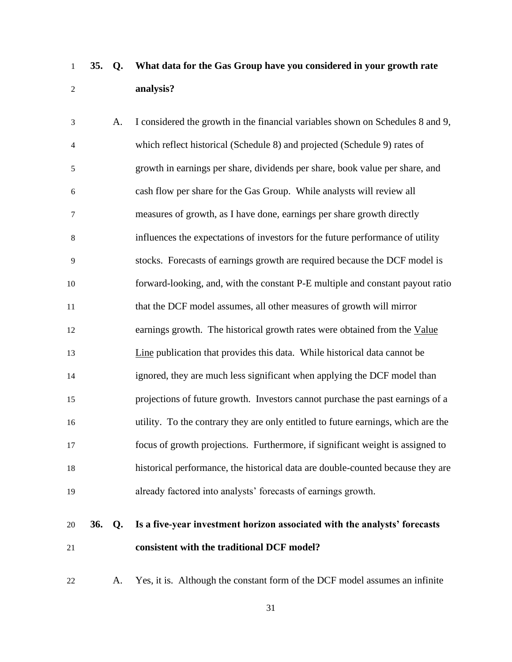# **35. Q. What data for the Gas Group have you considered in your growth rate analysis?**

| $\mathfrak{Z}$   | A. | I considered the growth in the financial variables shown on Schedules 8 and 9,    |
|------------------|----|-----------------------------------------------------------------------------------|
| $\overline{4}$   |    | which reflect historical (Schedule 8) and projected (Schedule 9) rates of         |
| 5                |    | growth in earnings per share, dividends per share, book value per share, and      |
| $\sqrt{6}$       |    | cash flow per share for the Gas Group. While analysts will review all             |
| $\boldsymbol{7}$ |    | measures of growth, as I have done, earnings per share growth directly            |
| $\,8$            |    | influences the expectations of investors for the future performance of utility    |
| 9                |    | stocks. Forecasts of earnings growth are required because the DCF model is        |
| 10               |    | forward-looking, and, with the constant P-E multiple and constant payout ratio    |
| 11               |    | that the DCF model assumes, all other measures of growth will mirror              |
| 12               |    | earnings growth. The historical growth rates were obtained from the Value         |
| 13               |    | Line publication that provides this data. While historical data cannot be         |
| 14               |    | ignored, they are much less significant when applying the DCF model than          |
| 15               |    | projections of future growth. Investors cannot purchase the past earnings of a    |
| 16               |    | utility. To the contrary they are only entitled to future earnings, which are the |
| 17               |    | focus of growth projections. Furthermore, if significant weight is assigned to    |
| 18               |    | historical performance, the historical data are double-counted because they are   |
| 19               |    | already factored into analysts' forecasts of earnings growth.                     |

# **36. Q. Is a five-year investment horizon associated with the analysts' forecasts consistent with the traditional DCF model?**

A. Yes, it is. Although the constant form of the DCF model assumes an infinite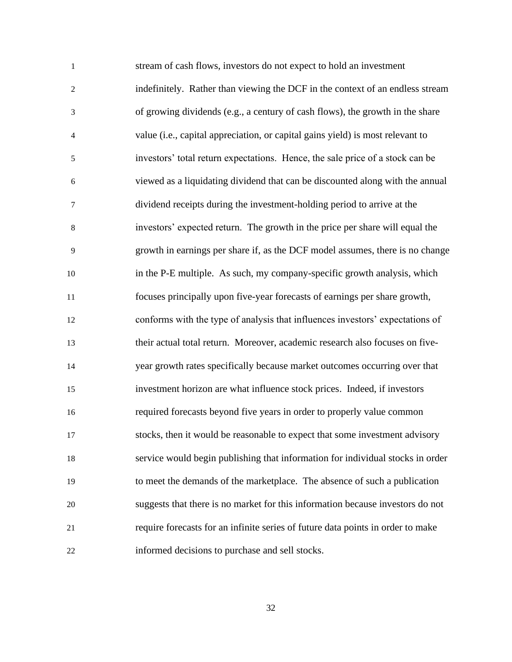stream of cash flows, investors do not expect to hold an investment indefinitely. Rather than viewing the DCF in the context of an endless stream of growing dividends (e.g., a century of cash flows), the growth in the share value (i.e., capital appreciation, or capital gains yield) is most relevant to investors' total return expectations. Hence, the sale price of a stock can be viewed as a liquidating dividend that can be discounted along with the annual dividend receipts during the investment-holding period to arrive at the investors' expected return. The growth in the price per share will equal the growth in earnings per share if, as the DCF model assumes, there is no change in the P-E multiple. As such, my company-specific growth analysis, which focuses principally upon five-year forecasts of earnings per share growth, conforms with the type of analysis that influences investors' expectations of their actual total return. Moreover, academic research also focuses on five- year growth rates specifically because market outcomes occurring over that investment horizon are what influence stock prices. Indeed, if investors required forecasts beyond five years in order to properly value common stocks, then it would be reasonable to expect that some investment advisory service would begin publishing that information for individual stocks in order to meet the demands of the marketplace. The absence of such a publication suggests that there is no market for this information because investors do not require forecasts for an infinite series of future data points in order to make informed decisions to purchase and sell stocks.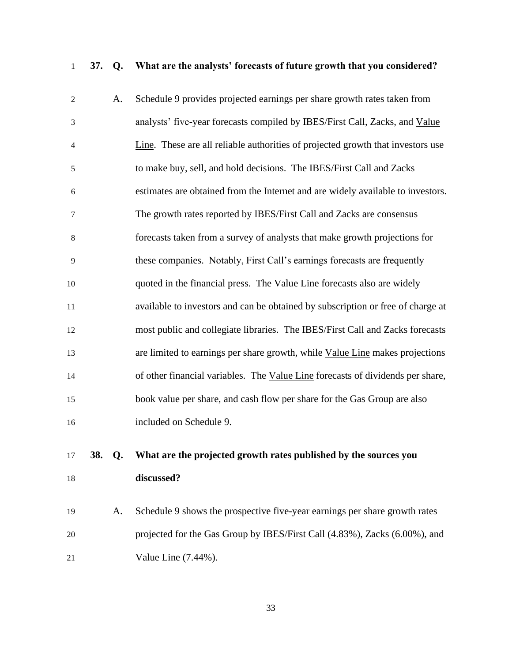**37. Q. What are the analysts' forecasts of future growth that you considered?**

| $\mathbf{2}$ | A.        | Schedule 9 provides projected earnings per share growth rates taken from        |
|--------------|-----------|---------------------------------------------------------------------------------|
| 3            |           | analysts' five-year forecasts compiled by IBES/First Call, Zacks, and Value     |
| 4            |           | Line. These are all reliable authorities of projected growth that investors use |
| 5            |           | to make buy, sell, and hold decisions. The IBES/First Call and Zacks            |
| 6            |           | estimates are obtained from the Internet and are widely available to investors. |
| 7            |           | The growth rates reported by IBES/First Call and Zacks are consensus            |
| 8            |           | forecasts taken from a survey of analysts that make growth projections for      |
| 9            |           | these companies. Notably, First Call's earnings forecasts are frequently        |
| 10           |           | quoted in the financial press. The Value Line forecasts also are widely         |
| 11           |           | available to investors and can be obtained by subscription or free of charge at |
| 12           |           | most public and collegiate libraries. The IBES/First Call and Zacks forecasts   |
| 13           |           | are limited to earnings per share growth, while Value Line makes projections    |
| 14           |           | of other financial variables. The Value Line forecasts of dividends per share,  |
| 15           |           | book value per share, and cash flow per share for the Gas Group are also        |
| 16           |           | included on Schedule 9.                                                         |
| 17           | 38.<br>Q. | What are the projected growth rates published by the sources you                |
| 18           |           | discussed?                                                                      |
|              |           |                                                                                 |

 A. Schedule 9 shows the prospective five-year earnings per share growth rates projected for the Gas Group by IBES/First Call (4.83%), Zacks (6.00%), and 21 Value Line (7.44%).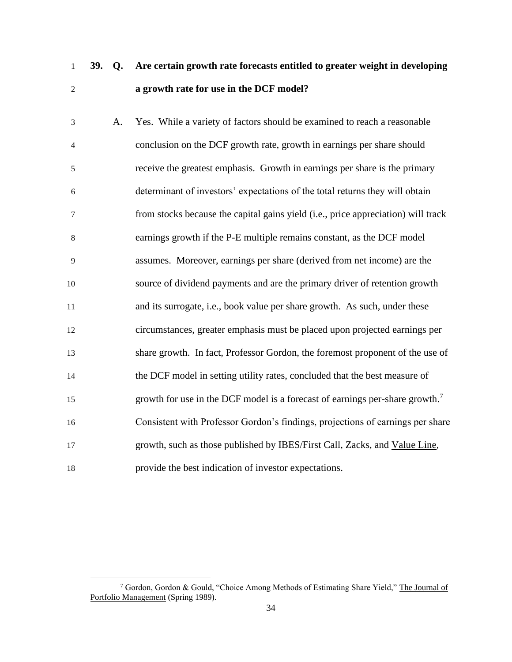**39. Q. Are certain growth rate forecasts entitled to greater weight in developing a growth rate for use in the DCF model?**

 A. Yes. While a variety of factors should be examined to reach a reasonable conclusion on the DCF growth rate, growth in earnings per share should receive the greatest emphasis. Growth in earnings per share is the primary determinant of investors' expectations of the total returns they will obtain from stocks because the capital gains yield (i.e., price appreciation) will track earnings growth if the P-E multiple remains constant, as the DCF model assumes. Moreover, earnings per share (derived from net income) are the source of dividend payments and are the primary driver of retention growth and its surrogate, i.e., book value per share growth. As such, under these circumstances, greater emphasis must be placed upon projected earnings per share growth. In fact, Professor Gordon, the foremost proponent of the use of the DCF model in setting utility rates, concluded that the best measure of 15 separate growth for use in the DCF model is a forecast of earnings per-share growth.<sup>7</sup> Consistent with Professor Gordon's findings, projections of earnings per share growth, such as those published by IBES/First Call, Zacks, and Value Line, provide the best indication of investor expectations.

<sup>&</sup>lt;sup>7</sup> Gordon, Gordon & Gould, "Choice Among Methods of Estimating Share Yield," The Journal of Portfolio Management (Spring 1989).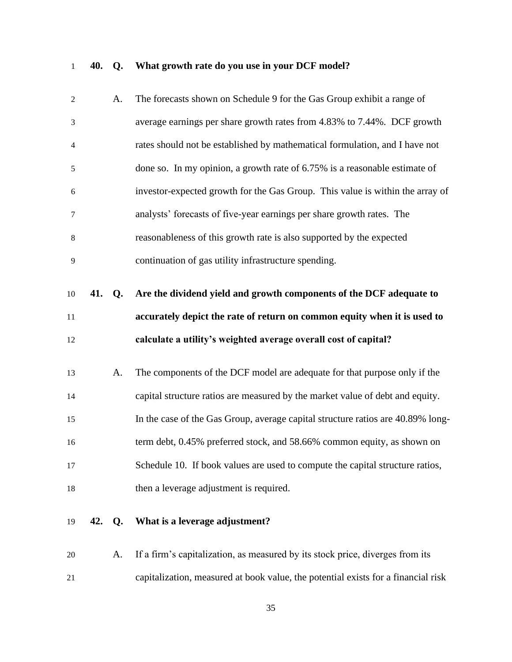## **40. Q. What growth rate do you use in your DCF model?**

| $\mathfrak{2}$ |        | A. | The forecasts shown on Schedule 9 for the Gas Group exhibit a range of                                                                                     |
|----------------|--------|----|------------------------------------------------------------------------------------------------------------------------------------------------------------|
| 3              |        |    | average earnings per share growth rates from 4.83% to 7.44%. DCF growth                                                                                    |
| $\overline{4}$ |        |    | rates should not be established by mathematical formulation, and I have not                                                                                |
| 5              |        |    | done so. In my opinion, a growth rate of 6.75% is a reasonable estimate of                                                                                 |
| 6              |        |    | investor-expected growth for the Gas Group. This value is within the array of                                                                              |
| 7              |        |    | analysts' forecasts of five-year earnings per share growth rates. The                                                                                      |
| 8              |        |    | reasonableness of this growth rate is also supported by the expected                                                                                       |
| 9              |        |    | continuation of gas utility infrastructure spending.                                                                                                       |
| 10             | 41. Q. |    | Are the dividend yield and growth components of the DCF adequate to                                                                                        |
|                |        |    |                                                                                                                                                            |
|                |        |    | accurately depict the rate of return on common equity when it is used to                                                                                   |
| 11             |        |    |                                                                                                                                                            |
| 12             |        |    | calculate a utility's weighted average overall cost of capital?                                                                                            |
| 13             |        | A. |                                                                                                                                                            |
| 14             |        |    | The components of the DCF model are adequate for that purpose only if the<br>capital structure ratios are measured by the market value of debt and equity. |
| 15             |        |    | In the case of the Gas Group, average capital structure ratios are 40.89% long-                                                                            |
| 16             |        |    | term debt, 0.45% preferred stock, and 58.66% common equity, as shown on                                                                                    |
|                |        |    | Schedule 10. If book values are used to compute the capital structure ratios,                                                                              |
| 17<br>18       |        |    | then a leverage adjustment is required.                                                                                                                    |

 A. If a firm's capitalization, as measured by its stock price, diverges from its capitalization, measured at book value, the potential exists for a financial risk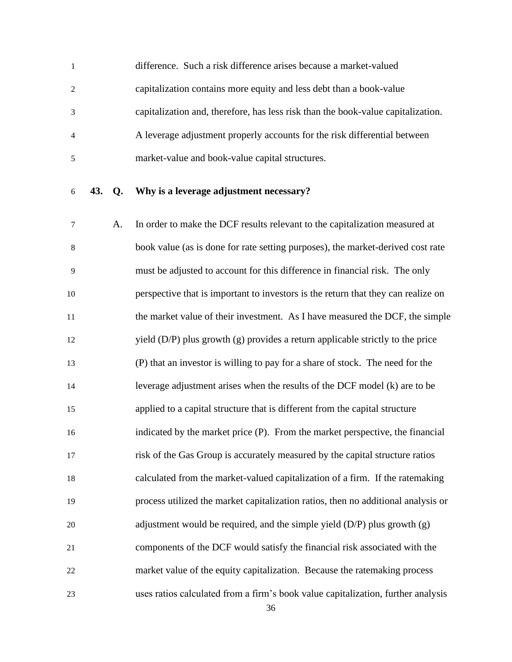difference. Such a risk difference arises because a market-valued capitalization contains more equity and less debt than a book-value capitalization and, therefore, has less risk than the book-value capitalization. A leverage adjustment properly accounts for the risk differential between market-value and book-value capital structures.

#### **43. Q. Why is a leverage adjustment necessary?**

 A. In order to make the DCF results relevant to the capitalization measured at book value (as is done for rate setting purposes), the market-derived cost rate must be adjusted to account for this difference in financial risk. The only perspective that is important to investors is the return that they can realize on 11 the market value of their investment. As I have measured the DCF, the simple yield (D/P) plus growth (g) provides a return applicable strictly to the price (P) that an investor is willing to pay for a share of stock. The need for the leverage adjustment arises when the results of the DCF model (k) are to be applied to a capital structure that is different from the capital structure indicated by the market price (P). From the market perspective, the financial risk of the Gas Group is accurately measured by the capital structure ratios calculated from the market-valued capitalization of a firm. If the ratemaking process utilized the market capitalization ratios, then no additional analysis or adjustment would be required, and the simple yield (D/P) plus growth (g) components of the DCF would satisfy the financial risk associated with the market value of the equity capitalization. Because the ratemaking process uses ratios calculated from a firm's book value capitalization, further analysis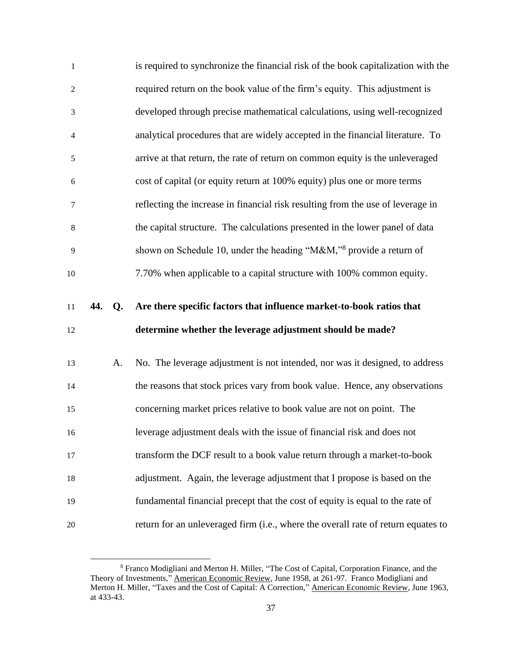| $\mathbf{1}$     |        | is required to synchronize the financial risk of the book capitalization with the |
|------------------|--------|-----------------------------------------------------------------------------------|
| $\overline{c}$   |        | required return on the book value of the firm's equity. This adjustment is        |
| $\mathfrak{Z}$   |        | developed through precise mathematical calculations, using well-recognized        |
| $\overline{4}$   |        | analytical procedures that are widely accepted in the financial literature. To    |
| 5                |        | arrive at that return, the rate of return on common equity is the unleveraged     |
| $\boldsymbol{6}$ |        | cost of capital (or equity return at 100% equity) plus one or more terms          |
| $\tau$           |        | reflecting the increase in financial risk resulting from the use of leverage in   |
| 8                |        | the capital structure. The calculations presented in the lower panel of data      |
| 9                |        | shown on Schedule 10, under the heading "M&M," <sup>8</sup> provide a return of   |
| $10\,$           |        | 7.70% when applicable to a capital structure with 100% common equity.             |
|                  |        |                                                                                   |
| 11               | 44. Q. | Are there specific factors that influence market-to-book ratios that              |
|                  |        | determine whether the leverage adjustment should be made?                         |
|                  | A.     | No. The leverage adjustment is not intended, nor was it designed, to address      |
| 12<br>13<br>14   |        | the reasons that stock prices vary from book value. Hence, any observations       |
| 15               |        | concerning market prices relative to book value are not on point. The             |
| 16               |        | leverage adjustment deals with the issue of financial risk and does not           |
| 17               |        | transform the DCF result to a book value return through a market-to-book          |
| 18               |        | adjustment. Again, the leverage adjustment that I propose is based on the         |
| 19               |        | fundamental financial precept that the cost of equity is equal to the rate of     |

 Franco Modigliani and Merton H. Miller, "The Cost of Capital, Corporation Finance, and the Theory of Investments," American Economic Review, June 1958, at 261-97. Franco Modigliani and Merton H. Miller, "Taxes and the Cost of Capital: A Correction," American Economic Review, June 1963, at 433-43.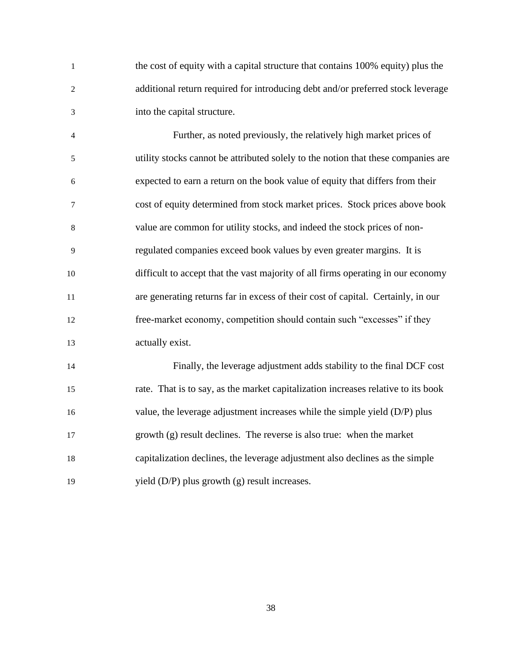the cost of equity with a capital structure that contains 100% equity) plus the additional return required for introducing debt and/or preferred stock leverage into the capital structure.

 Further, as noted previously, the relatively high market prices of utility stocks cannot be attributed solely to the notion that these companies are expected to earn a return on the book value of equity that differs from their cost of equity determined from stock market prices. Stock prices above book value are common for utility stocks, and indeed the stock prices of non- regulated companies exceed book values by even greater margins. It is difficult to accept that the vast majority of all firms operating in our economy are generating returns far in excess of their cost of capital. Certainly, in our free-market economy, competition should contain such "excesses" if they actually exist.

 Finally, the leverage adjustment adds stability to the final DCF cost rate. That is to say, as the market capitalization increases relative to its book 16 value, the leverage adjustment increases while the simple yield (D/P) plus growth (g) result declines. The reverse is also true: when the market capitalization declines, the leverage adjustment also declines as the simple 19 yield (D/P) plus growth (g) result increases.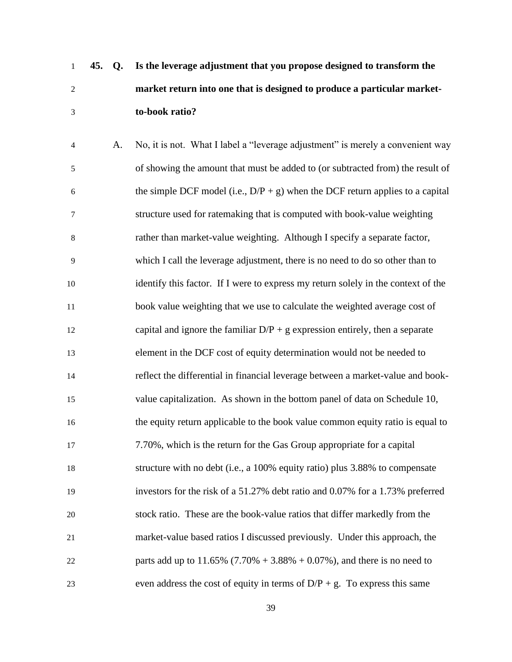- **45. Q. Is the leverage adjustment that you propose designed to transform the market return into one that is designed to produce a particular market-to-book ratio?**
- A. No, it is not. What I label a "leverage adjustment" is merely a convenient way of showing the amount that must be added to (or subtracted from) the result of 6 the simple DCF model (i.e.,  $D/P + g$ ) when the DCF return applies to a capital structure used for ratemaking that is computed with book-value weighting rather than market-value weighting. Although I specify a separate factor, which I call the leverage adjustment, there is no need to do so other than to identify this factor. If I were to express my return solely in the context of the book value weighting that we use to calculate the weighted average cost of 12 capital and ignore the familiar  $D/P + g$  expression entirely, then a separate element in the DCF cost of equity determination would not be needed to reflect the differential in financial leverage between a market-value and book- value capitalization. As shown in the bottom panel of data on Schedule 10, the equity return applicable to the book value common equity ratio is equal to 7.70%, which is the return for the Gas Group appropriate for a capital structure with no debt (i.e., a 100% equity ratio) plus 3.88% to compensate investors for the risk of a 51.27% debt ratio and 0.07% for a 1.73% preferred stock ratio. These are the book-value ratios that differ markedly from the market-value based ratios I discussed previously. Under this approach, the 22 parts add up to  $11.65\%$  (7.70% + 3.88% + 0.07%), and there is no need to 23 even address the cost of equity in terms of  $D/P + g$ . To express this same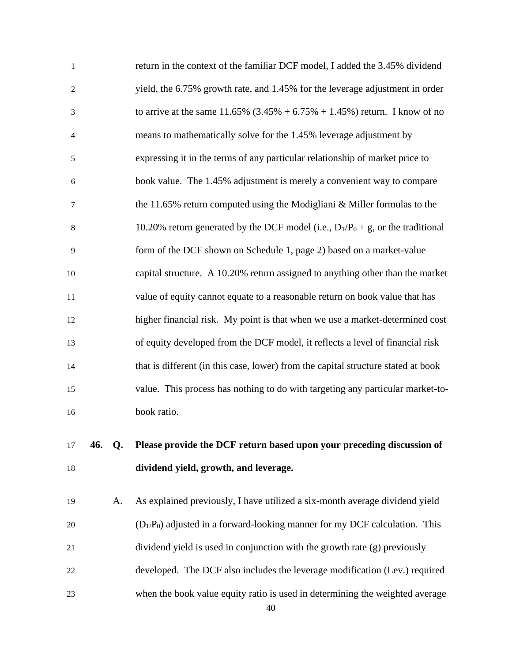| 18             |        | dividend yield, growth, and leverage.                                              |
|----------------|--------|------------------------------------------------------------------------------------|
| 17             | 46. Q. | Please provide the DCF return based upon your preceding discussion of              |
| 16             |        | book ratio.                                                                        |
| 15             |        | value. This process has nothing to do with targeting any particular market-to-     |
| 14             |        | that is different (in this case, lower) from the capital structure stated at book  |
| 13             |        | of equity developed from the DCF model, it reflects a level of financial risk      |
| 12             |        | higher financial risk. My point is that when we use a market-determined cost       |
| 11             |        | value of equity cannot equate to a reasonable return on book value that has        |
| 10             |        | capital structure. A 10.20% return assigned to anything other than the market      |
| 9              |        | form of the DCF shown on Schedule 1, page 2) based on a market-value               |
| 8              |        | 10.20% return generated by the DCF model (i.e., $D_1/P_0 + g$ , or the traditional |
| 7              |        | the 11.65% return computed using the Modigliani $&$ Miller formulas to the         |
| 6              |        | book value. The 1.45% adjustment is merely a convenient way to compare             |
| 5              |        | expressing it in the terms of any particular relationship of market price to       |
| $\overline{4}$ |        | means to mathematically solve for the 1.45% leverage adjustment by                 |
| 3              |        | to arrive at the same 11.65% $(3.45\% + 6.75\% + 1.45\%)$ return. I know of no     |
| $\overline{2}$ |        | yield, the 6.75% growth rate, and 1.45% for the leverage adjustment in order       |
| $\mathbf{1}$   |        | return in the context of the familiar DCF model, I added the 3.45% dividend        |

 A. As explained previously, I have utilized a six-month average dividend yield  $(D_1/P_0)$  adjusted in a forward-looking manner for my DCF calculation. This dividend yield is used in conjunction with the growth rate (g) previously developed. The DCF also includes the leverage modification (Lev.) required when the book value equity ratio is used in determining the weighted average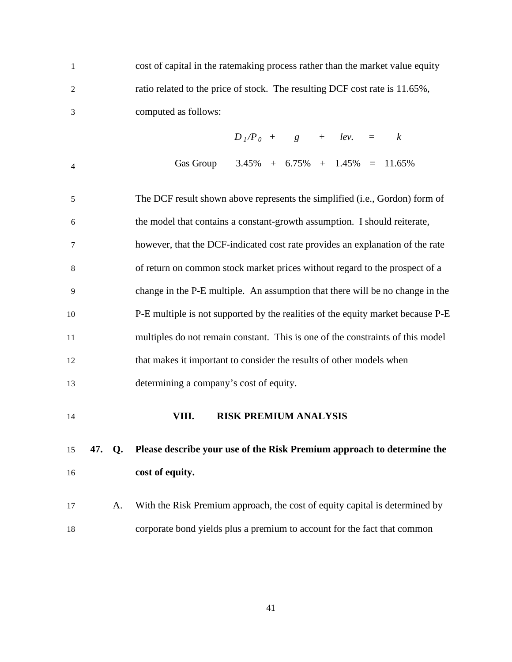<span id="page-44-0"></span>

| $\mathbf{1}$   |     |           | cost of capital in the ratemaking process rather than the market value equity   |  |  |  |  |  |  |  |
|----------------|-----|-----------|---------------------------------------------------------------------------------|--|--|--|--|--|--|--|
| $\overline{c}$ |     |           | ratio related to the price of stock. The resulting DCF cost rate is 11.65%,     |  |  |  |  |  |  |  |
| 3              |     |           | computed as follows:                                                            |  |  |  |  |  |  |  |
|                |     |           | $D_1/P_0$ + g + lev. =<br>$\boldsymbol{k}$                                      |  |  |  |  |  |  |  |
| $\overline{4}$ |     |           | Gas Group $3.45\% + 6.75\% + 1.45\% = 11.65\%$                                  |  |  |  |  |  |  |  |
| 5              |     |           | The DCF result shown above represents the simplified (i.e., Gordon) form of     |  |  |  |  |  |  |  |
| 6              |     |           | the model that contains a constant-growth assumption. I should reiterate,       |  |  |  |  |  |  |  |
| 7              |     |           | however, that the DCF-indicated cost rate provides an explanation of the rate   |  |  |  |  |  |  |  |
| 8              |     |           | of return on common stock market prices without regard to the prospect of a     |  |  |  |  |  |  |  |
| 9              |     |           | change in the P-E multiple. An assumption that there will be no change in the   |  |  |  |  |  |  |  |
| 10             |     |           | P-E multiple is not supported by the realities of the equity market because P-E |  |  |  |  |  |  |  |
| 11             |     |           | multiples do not remain constant. This is one of the constraints of this model  |  |  |  |  |  |  |  |
| 12             |     |           | that makes it important to consider the results of other models when            |  |  |  |  |  |  |  |
| 13             |     |           | determining a company's cost of equity.                                         |  |  |  |  |  |  |  |
| 14             |     |           | <b>RISK PREMIUM ANALYSIS</b><br>VIII.                                           |  |  |  |  |  |  |  |
| 15             | 47. | $Q_{\rm}$ | Please describe your use of the Risk Premium approach to determine the          |  |  |  |  |  |  |  |
| 16             |     |           | cost of equity.                                                                 |  |  |  |  |  |  |  |
| 17             |     | A.        | With the Risk Premium approach, the cost of equity capital is determined by     |  |  |  |  |  |  |  |
| 18             |     |           | corporate bond yields plus a premium to account for the fact that common        |  |  |  |  |  |  |  |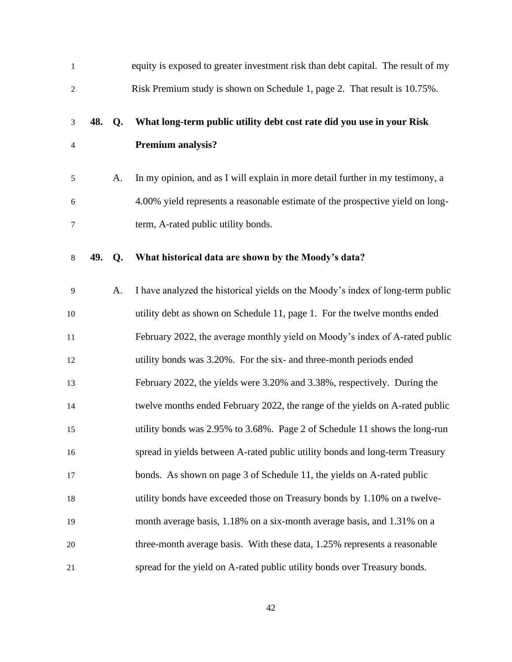| $\mathbf{1}$   |     |    | equity is exposed to greater investment risk than debt capital. The result of my |
|----------------|-----|----|----------------------------------------------------------------------------------|
| $\overline{c}$ |     |    | Risk Premium study is shown on Schedule 1, page 2. That result is 10.75%.        |
| 3              | 48. | Q. | What long-term public utility debt cost rate did you use in your Risk            |
| 4              |     |    | Premium analysis?                                                                |
| 5              |     | A. | In my opinion, and as I will explain in more detail further in my testimony, a   |
| 6              |     |    | 4.00% yield represents a reasonable estimate of the prospective yield on long-   |
| $\tau$         |     |    | term, A-rated public utility bonds.                                              |
| 8              | 49. | Q. | What historical data are shown by the Moody's data?                              |
| 9              |     | A. | I have analyzed the historical yields on the Moody's index of long-term public   |
| 10             |     |    | utility debt as shown on Schedule 11, page 1. For the twelve months ended        |
| 11             |     |    | February 2022, the average monthly yield on Moody's index of A-rated public      |
| 12             |     |    | utility bonds was 3.20%. For the six- and three-month periods ended              |
| 13             |     |    | February 2022, the yields were 3.20% and 3.38%, respectively. During the         |
| 14             |     |    | twelve months ended February 2022, the range of the yields on A-rated public     |
| 15             |     |    | utility bonds was 2.95% to 3.68%. Page 2 of Schedule 11 shows the long-run       |
| 16             |     |    | spread in yields between A-rated public utility bonds and long-term Treasury     |
| 17             |     |    | bonds. As shown on page 3 of Schedule 11, the yields on A-rated public           |
| 18             |     |    | utility bonds have exceeded those on Treasury bonds by 1.10% on a twelve-        |
| 19             |     |    | month average basis, 1.18% on a six-month average basis, and 1.31% on a          |
| 20             |     |    | three-month average basis. With these data, 1.25% represents a reasonable        |
| 21             |     |    | spread for the yield on A-rated public utility bonds over Treasury bonds.        |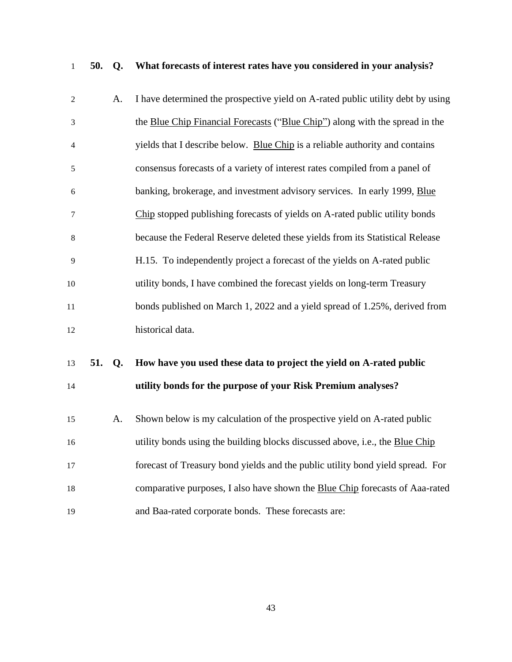**50. Q. What forecasts of interest rates have you considered in your analysis?**

| $\mathbf{2}$   | A.               | I have determined the prospective yield on A-rated public utility debt by using |
|----------------|------------------|---------------------------------------------------------------------------------|
| 3              |                  | the Blue Chip Financial Forecasts ("Blue Chip") along with the spread in the    |
| $\overline{4}$ |                  | yields that I describe below. Blue Chip is a reliable authority and contains    |
| $\sqrt{5}$     |                  | consensus forecasts of a variety of interest rates compiled from a panel of     |
| 6              |                  | banking, brokerage, and investment advisory services. In early 1999, Blue       |
| $\tau$         |                  | Chip stopped publishing forecasts of yields on A-rated public utility bonds     |
| $\,8\,$        |                  | because the Federal Reserve deleted these yields from its Statistical Release   |
| 9              |                  | H.15. To independently project a forecast of the yields on A-rated public       |
| 10             |                  | utility bonds, I have combined the forecast yields on long-term Treasury        |
| 11             |                  | bonds published on March 1, 2022 and a yield spread of 1.25%, derived from      |
| 12             |                  | historical data.                                                                |
| 13             | 51.<br><b>Q.</b> | How have you used these data to project the yield on A-rated public             |
| 14             |                  | utility bonds for the purpose of your Risk Premium analyses?                    |
| 15             | A.               | Shown below is my calculation of the prospective yield on A-rated public        |
| 16             |                  | utility bonds using the building blocks discussed above, i.e., the Blue Chip    |
| 17             |                  | forecast of Treasury bond yields and the public utility bond yield spread. For  |
| 18             |                  | comparative purposes, I also have shown the Blue Chip forecasts of Aaa-rated    |

and Baa-rated corporate bonds. These forecasts are: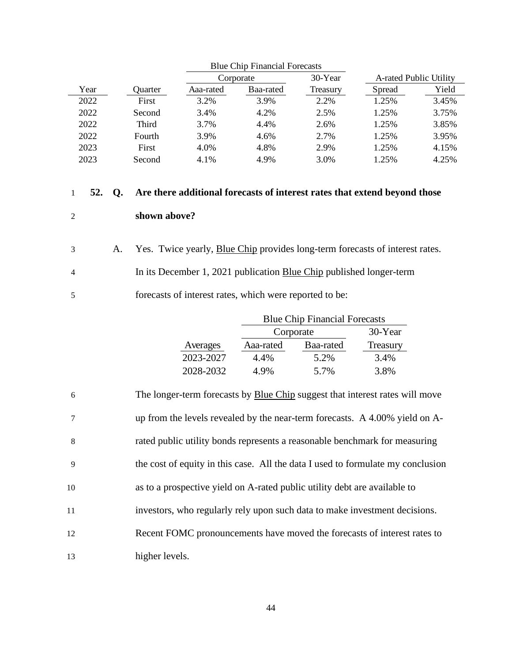|      |         |           | Corporate | 30-Year  |        | A-rated Public Utility |
|------|---------|-----------|-----------|----------|--------|------------------------|
| Year | Ouarter | Aaa-rated | Baa-rated | Treasury | Spread | Yield                  |
| 2022 | First   | 3.2%      | 3.9%      | 2.2%     | 1.25%  | 3.45%                  |
| 2022 | Second  | 3.4%      | 4.2%      | 2.5%     | 1.25%  | 3.75%                  |
| 2022 | Third   | 3.7%      | 4.4%      | 2.6%     | 1.25%  | 3.85%                  |
| 2022 | Fourth  | 3.9%      | 4.6%      | 2.7%     | 1.25%  | 3.95%                  |
| 2023 | First   | 4.0%      | 4.8%      | 2.9%     | 1.25%  | 4.15%                  |
| 2023 | Second  | 4.1%      | 4.9%      | 3.0%     | 1.25%  | 4.25%                  |

# **52. Q. Are there additional forecasts of interest rates that extend beyond those shown above?**

|                | Yes. Twice yearly, Blue Chip provides long-term forecasts of interest rates. |
|----------------|------------------------------------------------------------------------------|
| $\overline{4}$ | In its December 1, 2021 publication Blue Chip published longer-term          |
|                | forecasts of interest rates, which were reported to be:                      |

|           |           | <b>Blue Chip Financial Forecasts</b> |          |  |  |  |
|-----------|-----------|--------------------------------------|----------|--|--|--|
|           |           | Corporate                            |          |  |  |  |
| Averages  | Aaa-rated | Baa-rated                            | Treasury |  |  |  |
| 2023-2027 | 4.4%      | 5.2%                                 | 3.4%     |  |  |  |
| 2028-2032 | 4.9%      | 5.7%                                 | 3.8%     |  |  |  |

|                |      |    |                |                                                         | Corporate | 30-Year                                                                             | A-rated Public Utili |      |
|----------------|------|----|----------------|---------------------------------------------------------|-----------|-------------------------------------------------------------------------------------|----------------------|------|
|                | Year |    | Quarter        | Aaa-rated                                               | Baa-rated | Treasury                                                                            | Spread               | Yie  |
|                | 2022 |    | First          | 3.2%                                                    | 3.9%      | 2.2%                                                                                | 1.25%                | 3.45 |
|                | 2022 |    | Second         | 3.4%                                                    | 4.2%      | 2.5%                                                                                | 1.25%                | 3.75 |
|                | 2022 |    | Third          | 3.7%                                                    | 4.4%      | 2.6%                                                                                | 1.25%                | 3.85 |
|                | 2022 |    | Fourth         | 3.9%                                                    | 4.6%      | 2.7%                                                                                | 1.25%                | 3.95 |
|                | 2023 |    | First          | 4.0%                                                    | 4.8%      | 2.9%                                                                                | 1.25%                | 4.15 |
|                | 2023 |    | Second         | 4.1%                                                    | 4.9%      | 3.0%                                                                                | 1.25%                | 4.25 |
| 1              | 52.  | Q. |                |                                                         |           | Are there additional forecasts of interest rates that extend beyond those           |                      |      |
| $\overline{c}$ |      |    | shown above?   |                                                         |           |                                                                                     |                      |      |
| 3              |      | A. |                |                                                         |           | Yes. Twice yearly, Blue Chip provides long-term forecasts of interest rates.        |                      |      |
| 4              |      |    |                |                                                         |           | In its December 1, 2021 publication Blue Chip published longer-term                 |                      |      |
| 5              |      |    |                | forecasts of interest rates, which were reported to be: |           |                                                                                     |                      |      |
|                |      |    |                |                                                         |           | <b>Blue Chip Financial Forecasts</b>                                                |                      |      |
|                |      |    |                |                                                         | Corporate |                                                                                     | 30-Year              |      |
|                |      |    |                | Averages                                                | Aaa-rated | Baa-rated                                                                           | Treasury             |      |
|                |      |    |                | 2023-2027                                               | 4.4%      | 5.2%                                                                                | 3.4%                 |      |
|                |      |    |                | 2028-2032                                               | 4.9%      | 5.7%                                                                                | 3.8%                 |      |
| 6              |      |    |                |                                                         |           | The longer-term forecasts by <b>Blue Chip</b> suggest that interest rates will move |                      |      |
| $\tau$         |      |    |                |                                                         |           | up from the levels revealed by the near-term forecasts. A 4.00% yield on A-         |                      |      |
| 8              |      |    |                |                                                         |           | rated public utility bonds represents a reasonable benchmark for measuring          |                      |      |
| 9              |      |    |                |                                                         |           | the cost of equity in this case. All the data I used to formulate my conclusion     |                      |      |
| 10             |      |    |                |                                                         |           | as to a prospective yield on A-rated public utility debt are available to           |                      |      |
| 11             |      |    |                |                                                         |           | investors, who regularly rely upon such data to make investment decisions.          |                      |      |
| 12             |      |    |                |                                                         |           | Recent FOMC pronouncements have moved the forecasts of interest rates to            |                      |      |
| 13             |      |    | higher levels. |                                                         |           |                                                                                     |                      |      |
|                |      |    |                |                                                         |           |                                                                                     |                      |      |
|                |      |    |                |                                                         | 44        |                                                                                     |                      |      |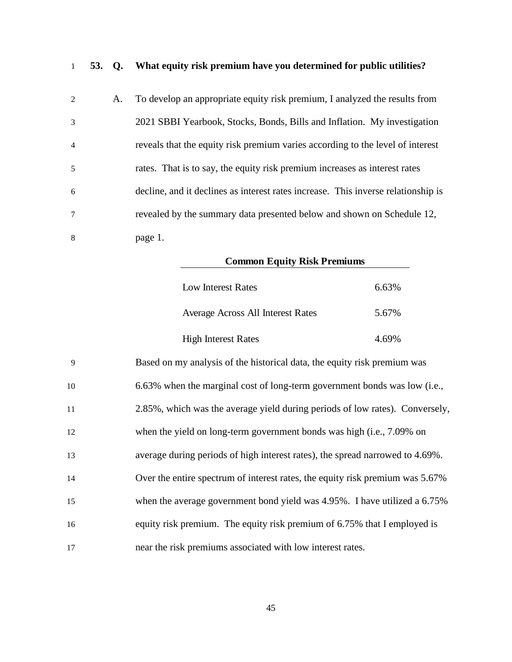**53. Q. What equity risk premium have you determined for public utilities?**

| 2              | A. | To develop an appropriate equity risk premium, I analyzed the results from        |
|----------------|----|-----------------------------------------------------------------------------------|
| 3              |    | 2021 SBBI Yearbook, Stocks, Bonds, Bills and Inflation. My investigation          |
| $\overline{4}$ |    | reveals that the equity risk premium varies according to the level of interest    |
| 5              |    | rates. That is to say, the equity risk premium increases as interest rates        |
| 6              |    | decline, and it declines as interest rates increase. This inverse relationship is |
| $\tau$         |    | revealed by the summary data presented below and shown on Schedule 12,            |
| 8              |    | page 1.                                                                           |

| <b>Common Equity Risk Premiums</b> |       |
|------------------------------------|-------|
| Low Interest Rates                 | 6.63% |
| Average Across All Interest Rates  | 5.67% |
| <b>High Interest Rates</b>         | 4.69% |

| 9  | Based on my analysis of the historical data, the equity risk premium was      |
|----|-------------------------------------------------------------------------------|
| 10 | 6.63% when the marginal cost of long-term government bonds was low (i.e.,     |
| 11 | 2.85%, which was the average yield during periods of low rates). Conversely,  |
| 12 | when the yield on long-term government bonds was high (i.e., 7.09% on         |
| 13 | average during periods of high interest rates), the spread narrowed to 4.69%. |
| 14 | Over the entire spectrum of interest rates, the equity risk premium was 5.67% |
| 15 | when the average government bond yield was 4.95%. I have utilized a 6.75%     |
| 16 | equity risk premium. The equity risk premium of 6.75% that I employed is      |
| 17 | near the risk premiums associated with low interest rates.                    |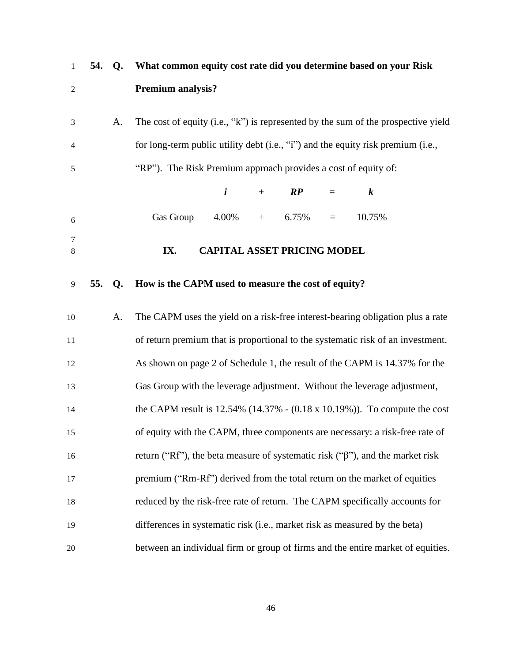<span id="page-49-0"></span>

| $\mathbf{1}$   | 54. | Q. | What common equity cost rate did you determine based on your Risk                     |
|----------------|-----|----|---------------------------------------------------------------------------------------|
| $\mathfrak{2}$ |     |    | <b>Premium analysis?</b>                                                              |
| 3              |     | A. | The cost of equity (i.e., "k") is represented by the sum of the prospective yield     |
| 4              |     |    | for long-term public utility debt (i.e., "i") and the equity risk premium (i.e.,      |
| 5              |     |    | "RP"). The Risk Premium approach provides a cost of equity of:                        |
|                |     |    | $\boldsymbol{i}$<br>$\boldsymbol{k}$<br>$\boldsymbol{RP}$<br>$+$<br>$=$               |
| 6              |     |    | Gas Group<br>10.75%<br>4.00%<br>6.75%<br>$\qquad \qquad +$<br>$=$                     |
| 7<br>8         |     |    | <b>CAPITAL ASSET PRICING MODEL</b><br>IX.                                             |
| 9              | 55. | Q. | How is the CAPM used to measure the cost of equity?                                   |
| 10             |     | A. | The CAPM uses the yield on a risk-free interest-bearing obligation plus a rate        |
| 11             |     |    | of return premium that is proportional to the systematic risk of an investment.       |
| 12             |     |    | As shown on page 2 of Schedule 1, the result of the CAPM is 14.37% for the            |
| 13             |     |    | Gas Group with the leverage adjustment. Without the leverage adjustment,              |
| 14             |     |    | the CAPM result is $12.54\%$ (14.37% - (0.18 x 10.19%)). To compute the cost          |
| 15             |     |    | of equity with the CAPM, three components are necessary: a risk-free rate of          |
| 16             |     |    | return ("Rf"), the beta measure of systematic risk (" $\beta$ "), and the market risk |
| 17             |     |    | premium ("Rm-Rf") derived from the total return on the market of equities             |
| 18             |     |    | reduced by the risk-free rate of return. The CAPM specifically accounts for           |
| 19             |     |    | differences in systematic risk (i.e., market risk as measured by the beta)            |
| 20             |     |    | between an individual firm or group of firms and the entire market of equities.       |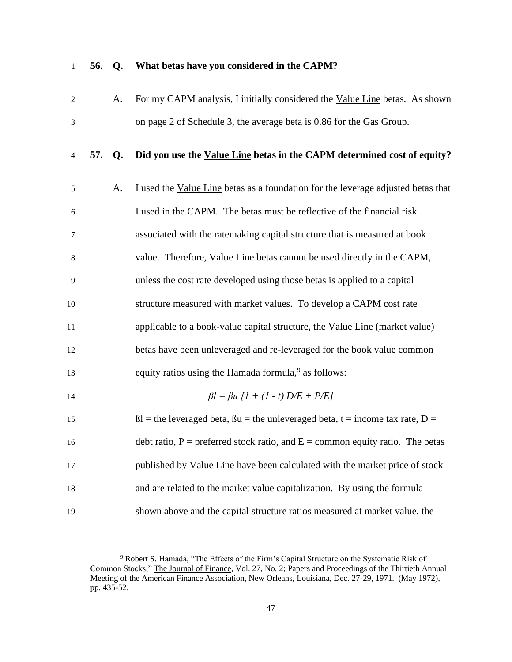### **56. Q. What betas have you considered in the CAPM?**

|  | For my CAPM analysis, I initially considered the Value Line betas. As shown |
|--|-----------------------------------------------------------------------------|
|  | on page 2 of Schedule 3, the average beta is 0.86 for the Gas Group.        |

### **57. Q. Did you use the Value Line betas in the CAPM determined cost of equity?**

| 5  | A. | I used the Value Line betas as a foundation for the leverage adjusted betas that           |
|----|----|--------------------------------------------------------------------------------------------|
| 6  |    | I used in the CAPM. The betas must be reflective of the financial risk                     |
| 7  |    | associated with the ratemaking capital structure that is measured at book                  |
| 8  |    | value. Therefore, Value Line betas cannot be used directly in the CAPM,                    |
| 9  |    | unless the cost rate developed using those betas is applied to a capital                   |
| 10 |    | structure measured with market values. To develop a CAPM cost rate                         |
| 11 |    | applicable to a book-value capital structure, the Value Line (market value)                |
| 12 |    | betas have been unleveraged and re-leveraged for the book value common                     |
| 13 |    | equity ratios using the Hamada formula, <sup>9</sup> as follows:                           |
| 14 |    | $\beta l = \beta u [1 + (1 - t) D/E + P/E]$                                                |
| 15 |    | $\beta$ l = the leveraged beta, $\beta u$ = the unleveraged beta, t = income tax rate, D = |
| 16 |    | debt ratio, $P =$ preferred stock ratio, and $E =$ common equity ratio. The betas          |
| 17 |    | published by Value Line have been calculated with the market price of stock                |
| 18 |    | and are related to the market value capitalization. By using the formula                   |
|    |    |                                                                                            |

shown above and the capital structure ratios measured at market value, the

 Robert S. Hamada, "The Effects of the Firm's Capital Structure on the Systematic Risk of Common Stocks;" The Journal of Finance, Vol. 27, No. 2; Papers and Proceedings of the Thirtieth Annual Meeting of the American Finance Association, New Orleans, Louisiana, Dec. 27-29, 1971. (May 1972), pp. 435-52.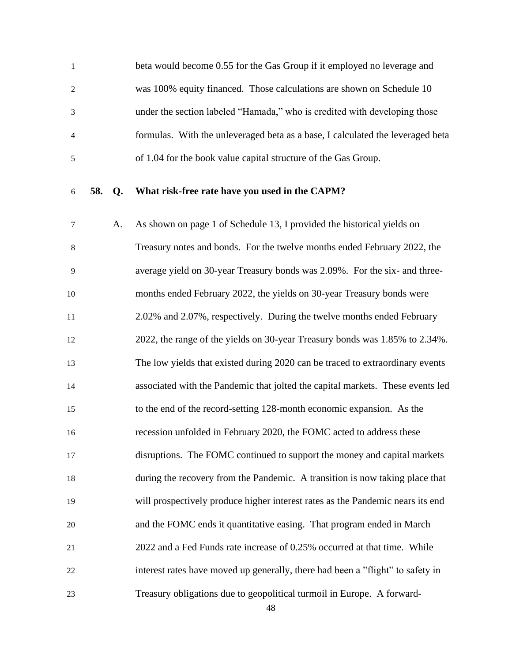beta would become 0.55 for the Gas Group if it employed no leverage and was 100% equity financed. Those calculations are shown on Schedule 10 under the section labeled "Hamada," who is credited with developing those formulas. With the unleveraged beta as a base, I calculated the leveraged beta of 1.04 for the book value capital structure of the Gas Group.

#### **58. Q. What risk-free rate have you used in the CAPM?**

 A. As shown on page 1 of Schedule 13, I provided the historical yields on Treasury notes and bonds. For the twelve months ended February 2022, the average yield on 30-year Treasury bonds was 2.09%. For the six- and three- months ended February 2022, the yields on 30-year Treasury bonds were 2.02% and 2.07%, respectively. During the twelve months ended February 2022, the range of the yields on 30-year Treasury bonds was 1.85% to 2.34%. The low yields that existed during 2020 can be traced to extraordinary events associated with the Pandemic that jolted the capital markets. These events led to the end of the record-setting 128-month economic expansion. As the recession unfolded in February 2020, the FOMC acted to address these disruptions. The FOMC continued to support the money and capital markets during the recovery from the Pandemic. A transition is now taking place that will prospectively produce higher interest rates as the Pandemic nears its end and the FOMC ends it quantitative easing. That program ended in March 2022 and a Fed Funds rate increase of 0.25% occurred at that time. While interest rates have moved up generally, there had been a "flight" to safety in Treasury obligations due to geopolitical turmoil in Europe. A forward-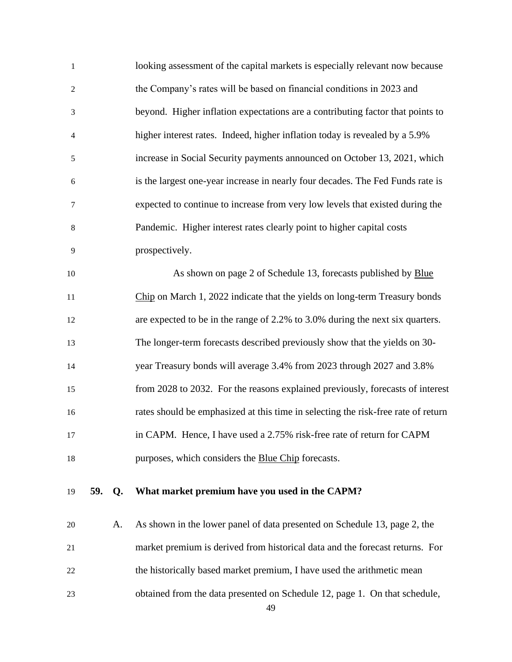| $\mathbf{1}$   |     |           | looking assessment of the capital markets is especially relevant now because      |
|----------------|-----|-----------|-----------------------------------------------------------------------------------|
| $\overline{c}$ |     |           | the Company's rates will be based on financial conditions in 2023 and             |
| $\mathfrak{Z}$ |     |           | beyond. Higher inflation expectations are a contributing factor that points to    |
| 4              |     |           | higher interest rates. Indeed, higher inflation today is revealed by a 5.9%       |
| 5              |     |           | increase in Social Security payments announced on October 13, 2021, which         |
| 6              |     |           | is the largest one-year increase in nearly four decades. The Fed Funds rate is    |
| $\tau$         |     |           | expected to continue to increase from very low levels that existed during the     |
| $\,8\,$        |     |           | Pandemic. Higher interest rates clearly point to higher capital costs             |
| 9              |     |           | prospectively.                                                                    |
| 10             |     |           | As shown on page 2 of Schedule 13, forecasts published by Blue                    |
| 11             |     |           | Chip on March 1, 2022 indicate that the yields on long-term Treasury bonds        |
| 12             |     |           | are expected to be in the range of 2.2% to 3.0% during the next six quarters.     |
| 13             |     |           | The longer-term forecasts described previously show that the yields on 30-        |
| 14             |     |           | year Treasury bonds will average 3.4% from 2023 through 2027 and 3.8%             |
| 15             |     |           | from 2028 to 2032. For the reasons explained previously, forecasts of interest    |
| 16             |     |           | rates should be emphasized at this time in selecting the risk-free rate of return |
| 17             |     |           | in CAPM. Hence, I have used a 2.75% risk-free rate of return for CAPM             |
| 18             |     |           | purposes, which considers the Blue Chip forecasts.                                |
| 19             | 59. | $Q_{\rm}$ | What market premium have you used in the CAPM?                                    |
| 20             |     | A.        | As shown in the lower panel of data presented on Schedule 13, page 2, the         |
| 21             |     |           | market premium is derived from historical data and the forecast returns. For      |
| 22             |     |           | the historically based market premium, I have used the arithmetic mean            |
| 23             |     |           | obtained from the data presented on Schedule 12, page 1. On that schedule,        |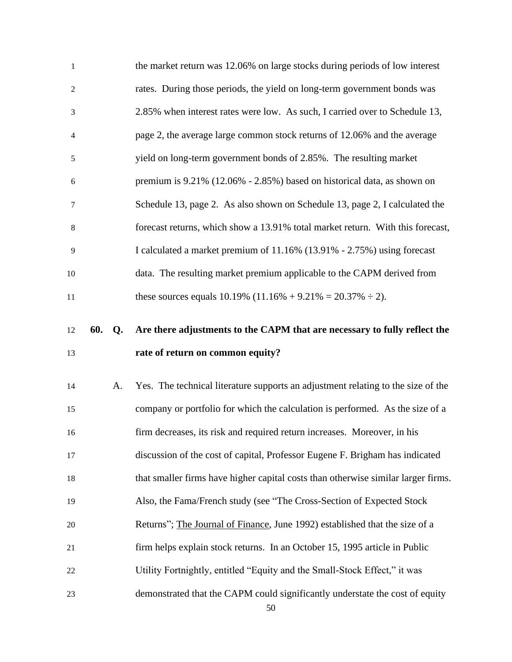| $\mathbf{1}$     |     |    | the market return was 12.06% on large stocks during periods of low interest       |
|------------------|-----|----|-----------------------------------------------------------------------------------|
| $\boldsymbol{2}$ |     |    | rates. During those periods, the yield on long-term government bonds was          |
| $\mathfrak{Z}$   |     |    | 2.85% when interest rates were low. As such, I carried over to Schedule 13,       |
| $\overline{4}$   |     |    | page 2, the average large common stock returns of 12.06% and the average          |
| $\mathfrak s$    |     |    | yield on long-term government bonds of 2.85%. The resulting market                |
| 6                |     |    | premium is 9.21% (12.06% - 2.85%) based on historical data, as shown on           |
| $\tau$           |     |    | Schedule 13, page 2. As also shown on Schedule 13, page 2, I calculated the       |
| $\,8\,$          |     |    | forecast returns, which show a 13.91% total market return. With this forecast,    |
| 9                |     |    | I calculated a market premium of 11.16% (13.91% - 2.75%) using forecast           |
| 10               |     |    | data. The resulting market premium applicable to the CAPM derived from            |
| $11\,$           |     |    | these sources equals $10.19\%$ (11.16% + 9.21% = 20.37% ÷ 2).                     |
|                  |     |    |                                                                                   |
| 12               | 60. | Q. | Are there adjustments to the CAPM that are necessary to fully reflect the         |
|                  |     |    |                                                                                   |
| 13               |     |    | rate of return on common equity?                                                  |
| 14               |     | A. | Yes. The technical literature supports an adjustment relating to the size of the  |
| 15               |     |    | company or portfolio for which the calculation is performed. As the size of a     |
| 16               |     |    | firm decreases, its risk and required return increases. Moreover, in his          |
| 17               |     |    | discussion of the cost of capital, Professor Eugene F. Brigham has indicated      |
| 18               |     |    | that smaller firms have higher capital costs than otherwise similar larger firms. |
| 19               |     |    | Also, the Fama/French study (see "The Cross-Section of Expected Stock             |
| 20               |     |    | Returns"; The Journal of Finance, June 1992) established that the size of a       |
| 21               |     |    | firm helps explain stock returns. In an October 15, 1995 article in Public        |
| 22               |     |    | Utility Fortnightly, entitled "Equity and the Small-Stock Effect," it was         |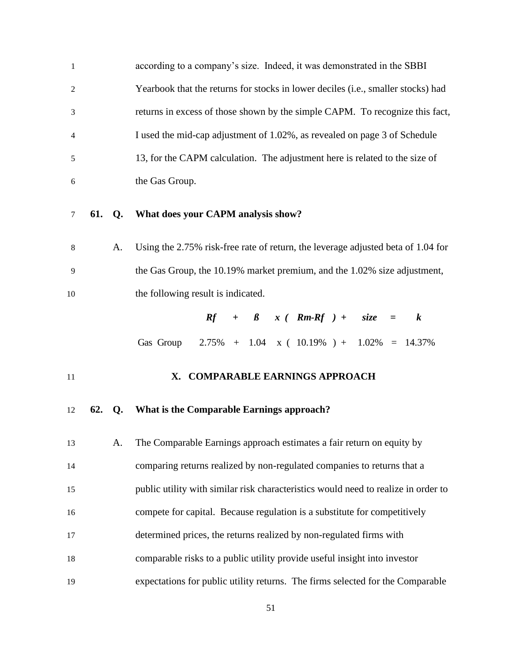| $\mathbf{1}$   |        |    | according to a company's size. Indeed, it was demonstrated in the SBBI           |
|----------------|--------|----|----------------------------------------------------------------------------------|
| $\overline{2}$ |        |    | Yearbook that the returns for stocks in lower deciles (i.e., smaller stocks) had |
| 3              |        |    | returns in excess of those shown by the simple CAPM. To recognize this fact,     |
| $\overline{4}$ |        |    | I used the mid-cap adjustment of 1.02%, as revealed on page 3 of Schedule        |
| 5              |        |    | 13, for the CAPM calculation. The adjustment here is related to the size of      |
| 6              |        |    | the Gas Group.                                                                   |
|                |        |    |                                                                                  |
| 7              | 61. Q. |    | What does your CAPM analysis show?                                               |
| 8              |        | A. | Using the 2.75% risk-free rate of return, the leverage adjusted beta of 1.04 for |
| 9              |        |    | the Gas Group, the 10.19% market premium, and the 1.02% size adjustment,         |
| 10             |        |    | the following result is indicated.                                               |
|                |        |    | $Rf + \beta x (Rm-Rf) + size =$<br>$\boldsymbol{k}$                              |

### <span id="page-54-0"></span>**X. COMPARABLE EARNINGS APPROACH**

### **62. Q. What is the Comparable Earnings approach?**

 A. The Comparable Earnings approach estimates a fair return on equity by comparing returns realized by non-regulated companies to returns that a public utility with similar risk characteristics would need to realize in order to compete for capital. Because regulation is a substitute for competitively determined prices, the returns realized by non-regulated firms with comparable risks to a public utility provide useful insight into investor expectations for public utility returns. The firms selected for the Comparable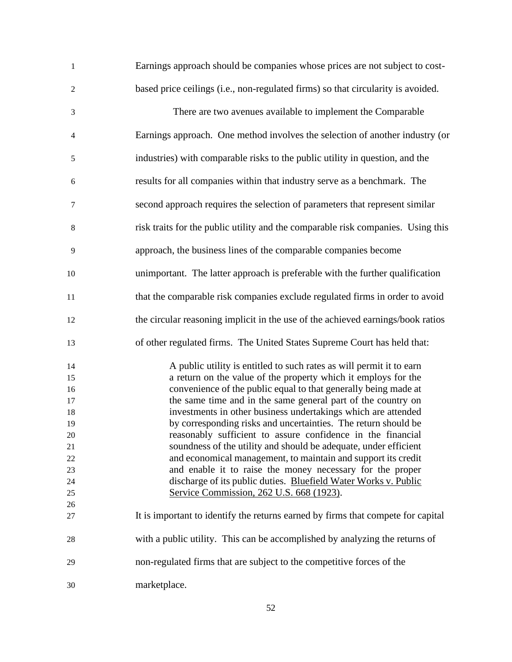| $\mathbf{1}$   | Earnings approach should be companies whose prices are not subject to cost-      |
|----------------|----------------------------------------------------------------------------------|
| $\overline{c}$ | based price ceilings (i.e., non-regulated firms) so that circularity is avoided. |
| $\mathfrak{Z}$ | There are two avenues available to implement the Comparable                      |
| 4              | Earnings approach. One method involves the selection of another industry (or     |
| 5              | industries) with comparable risks to the public utility in question, and the     |
| 6              | results for all companies within that industry serve as a benchmark. The         |
| $\tau$         | second approach requires the selection of parameters that represent similar      |
| 8              | risk traits for the public utility and the comparable risk companies. Using this |
| 9              | approach, the business lines of the comparable companies become                  |
| 10             | unimportant. The latter approach is preferable with the further qualification    |
| 11             | that the comparable risk companies exclude regulated firms in order to avoid     |
| 12             | the circular reasoning implicit in the use of the achieved earnings/book ratios  |
| 13             | of other regulated firms. The United States Supreme Court has held that:         |
| 14             | A public utility is entitled to such rates as will permit it to earn             |
| 15             | a return on the value of the property which it employs for the                   |
| 16             | convenience of the public equal to that generally being made at                  |
| 17             | the same time and in the same general part of the country on                     |
| 18             | investments in other business undertakings which are attended                    |
| 19             | by corresponding risks and uncertainties. The return should be                   |
| 20             | reasonably sufficient to assure confidence in the financial                      |
|                | soundness of the utility and should be adequate, under efficient                 |
| 21             |                                                                                  |
| 22             | and economical management, to maintain and support its credit                    |
| 23             | and enable it to raise the money necessary for the proper                        |
| 24             | discharge of its public duties. Bluefield Water Works v. Public                  |
| 25             | Service Commission, 262 U.S. 668 (1923).                                         |
| 26             |                                                                                  |
| 27             | It is important to identify the returns earned by firms that compete for capital |
| 28             | with a public utility. This can be accomplished by analyzing the returns of      |
| 29             | non-regulated firms that are subject to the competitive forces of the            |
| 30             | marketplace.                                                                     |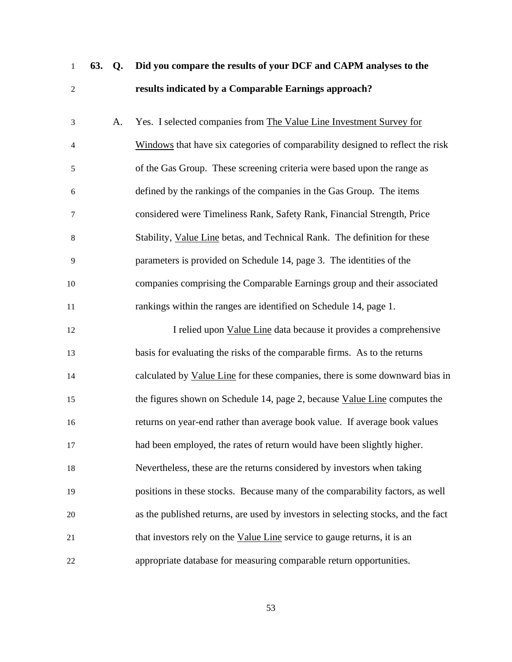| $\mathbf{1}$   | 63. | Q. | Did you compare the results of your DCF and CAPM analyses to the                  |
|----------------|-----|----|-----------------------------------------------------------------------------------|
| $\overline{c}$ |     |    | results indicated by a Comparable Earnings approach?                              |
| 3              |     | A. | Yes. I selected companies from The Value Line Investment Survey for               |
| 4              |     |    | Windows that have six categories of comparability designed to reflect the risk    |
| 5              |     |    | of the Gas Group. These screening criteria were based upon the range as           |
| 6              |     |    | defined by the rankings of the companies in the Gas Group. The items              |
| 7              |     |    | considered were Timeliness Rank, Safety Rank, Financial Strength, Price           |
| 8              |     |    | Stability, Value Line betas, and Technical Rank. The definition for these         |
| 9              |     |    | parameters is provided on Schedule 14, page 3. The identities of the              |
| 10             |     |    | companies comprising the Comparable Earnings group and their associated           |
| 11             |     |    | rankings within the ranges are identified on Schedule 14, page 1.                 |
| 12             |     |    | I relied upon Value Line data because it provides a comprehensive                 |
| 13             |     |    | basis for evaluating the risks of the comparable firms. As to the returns         |
| 14             |     |    | calculated by Value Line for these companies, there is some downward bias in      |
| 15             |     |    | the figures shown on Schedule 14, page 2, because Value Line computes the         |
| 16             |     |    | returns on year-end rather than average book value. If average book values        |
| 17             |     |    | had been employed, the rates of return would have been slightly higher.           |
| 18             |     |    | Nevertheless, these are the returns considered by investors when taking           |
| 19             |     |    | positions in these stocks. Because many of the comparability factors, as well     |
| 20             |     |    | as the published returns, are used by investors in selecting stocks, and the fact |
| 21             |     |    | that investors rely on the Value Line service to gauge returns, it is an          |
| 22             |     |    | appropriate database for measuring comparable return opportunities.               |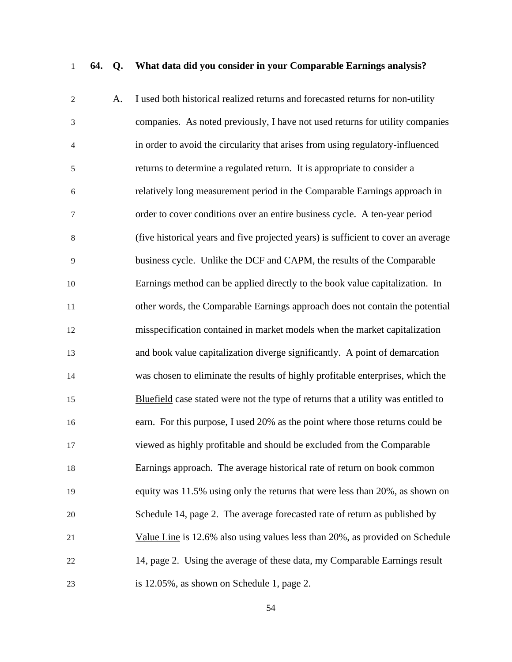## **64. Q. What data did you consider in your Comparable Earnings analysis?**

| $\mathfrak{2}$ | А. | I used both historical realized returns and forecasted returns for non-utility     |
|----------------|----|------------------------------------------------------------------------------------|
| 3              |    | companies. As noted previously, I have not used returns for utility companies      |
| $\overline{4}$ |    | in order to avoid the circularity that arises from using regulatory-influenced     |
| 5              |    | returns to determine a regulated return. It is appropriate to consider a           |
| 6              |    | relatively long measurement period in the Comparable Earnings approach in          |
| 7              |    | order to cover conditions over an entire business cycle. A ten-year period         |
| 8              |    | (five historical years and five projected years) is sufficient to cover an average |
| 9              |    | business cycle. Unlike the DCF and CAPM, the results of the Comparable             |
| 10             |    | Earnings method can be applied directly to the book value capitalization. In       |
| $11\,$         |    | other words, the Comparable Earnings approach does not contain the potential       |
| 12             |    | misspecification contained in market models when the market capitalization         |
| 13             |    | and book value capitalization diverge significantly. A point of demarcation        |
| 14             |    | was chosen to eliminate the results of highly profitable enterprises, which the    |
| 15             |    | Bluefield case stated were not the type of returns that a utility was entitled to  |
| 16             |    | earn. For this purpose, I used 20% as the point where those returns could be       |
| 17             |    | viewed as highly profitable and should be excluded from the Comparable             |
| 18             |    | Earnings approach. The average historical rate of return on book common            |
| 19             |    | equity was 11.5% using only the returns that were less than 20%, as shown on       |
| 20             |    | Schedule 14, page 2. The average forecasted rate of return as published by         |
| 21             |    | Value Line is 12.6% also using values less than 20%, as provided on Schedule       |
| 22             |    | 14, page 2. Using the average of these data, my Comparable Earnings result         |
| 23             |    | is 12.05%, as shown on Schedule 1, page 2.                                         |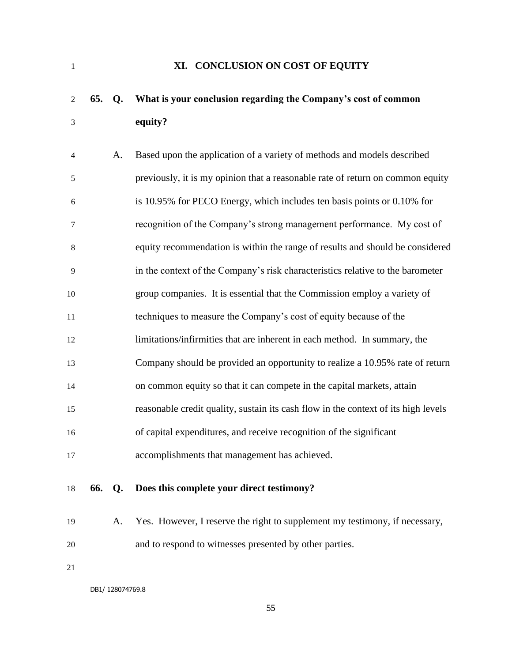<span id="page-58-0"></span>

## **XI. CONCLUSION ON COST OF EQUITY**

# **65. Q. What is your conclusion regarding the Company's cost of common equity?**

| $\overline{4}$ |     | А.             | Based upon the application of a variety of methods and models described            |
|----------------|-----|----------------|------------------------------------------------------------------------------------|
| 5              |     |                | previously, it is my opinion that a reasonable rate of return on common equity     |
| 6              |     |                | is 10.95% for PECO Energy, which includes ten basis points or 0.10% for            |
| $\tau$         |     |                | recognition of the Company's strong management performance. My cost of             |
| 8              |     |                | equity recommendation is within the range of results and should be considered      |
| 9              |     |                | in the context of the Company's risk characteristics relative to the barometer     |
| 10             |     |                | group companies. It is essential that the Commission employ a variety of           |
| 11             |     |                | techniques to measure the Company's cost of equity because of the                  |
| 12             |     |                | limitations/infirmities that are inherent in each method. In summary, the          |
| 13             |     |                | Company should be provided an opportunity to realize a 10.95% rate of return       |
| 14             |     |                | on common equity so that it can compete in the capital markets, attain             |
| 15             |     |                | reasonable credit quality, sustain its cash flow in the context of its high levels |
| 16             |     |                | of capital expenditures, and receive recognition of the significant                |
| 17             |     |                | accomplishments that management has achieved.                                      |
|                |     |                |                                                                                    |
| 18             | 66. | Q <sub>1</sub> | Does this complete your direct testimony?                                          |

 A. Yes. However, I reserve the right to supplement my testimony, if necessary, and to respond to witnesses presented by other parties.

DB1/ 128074769.8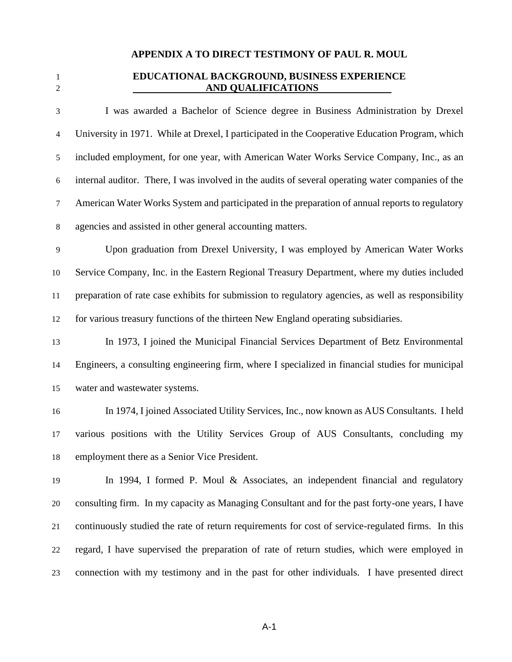### **APPENDIX A TO DIRECT TESTIMONY OF PAUL R. MOUL**

### **EDUCATIONAL BACKGROUND, BUSINESS EXPERIENCE AND QUALIFICATIONS**

 I was awarded a Bachelor of Science degree in Business Administration by Drexel University in 1971. While at Drexel, I participated in the Cooperative Education Program, which included employment, for one year, with American Water Works Service Company, Inc., as an internal auditor. There, I was involved in the audits of several operating water companies of the American Water Works System and participated in the preparation of annual reports to regulatory agencies and assisted in other general accounting matters.

 Upon graduation from Drexel University, I was employed by American Water Works Service Company, Inc. in the Eastern Regional Treasury Department, where my duties included preparation of rate case exhibits for submission to regulatory agencies, as well as responsibility for various treasury functions of the thirteen New England operating subsidiaries.

 In 1973, I joined the Municipal Financial Services Department of Betz Environmental Engineers, a consulting engineering firm, where I specialized in financial studies for municipal water and wastewater systems.

 In 1974, I joined Associated Utility Services, Inc., now known as AUS Consultants. I held various positions with the Utility Services Group of AUS Consultants, concluding my employment there as a Senior Vice President.

 In 1994, I formed P. Moul & Associates, an independent financial and regulatory consulting firm. In my capacity as Managing Consultant and for the past forty-one years, I have continuously studied the rate of return requirements for cost of service-regulated firms. In this regard, I have supervised the preparation of rate of return studies, which were employed in connection with my testimony and in the past for other individuals. I have presented direct

A-1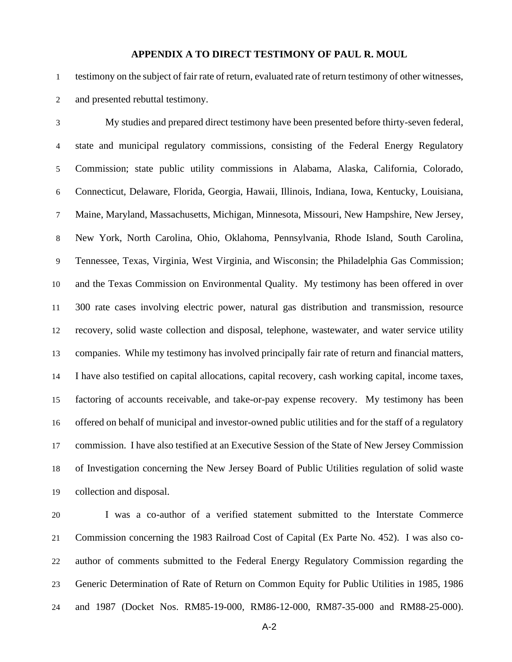#### **APPENDIX A TO DIRECT TESTIMONY OF PAUL R. MOUL**

 testimony on the subject of fair rate of return, evaluated rate of return testimony of other witnesses, and presented rebuttal testimony.

 My studies and prepared direct testimony have been presented before thirty-seven federal, state and municipal regulatory commissions, consisting of the Federal Energy Regulatory Commission; state public utility commissions in Alabama, Alaska, California, Colorado, Connecticut, Delaware, Florida, Georgia, Hawaii, Illinois, Indiana, Iowa, Kentucky, Louisiana, Maine, Maryland, Massachusetts, Michigan, Minnesota, Missouri, New Hampshire, New Jersey, New York, North Carolina, Ohio, Oklahoma, Pennsylvania, Rhode Island, South Carolina, Tennessee, Texas, Virginia, West Virginia, and Wisconsin; the Philadelphia Gas Commission; and the Texas Commission on Environmental Quality. My testimony has been offered in over 300 rate cases involving electric power, natural gas distribution and transmission, resource recovery, solid waste collection and disposal, telephone, wastewater, and water service utility companies. While my testimony has involved principally fair rate of return and financial matters, I have also testified on capital allocations, capital recovery, cash working capital, income taxes, factoring of accounts receivable, and take-or-pay expense recovery. My testimony has been offered on behalf of municipal and investor-owned public utilities and for the staff of a regulatory commission. I have also testified at an Executive Session of the State of New Jersey Commission of Investigation concerning the New Jersey Board of Public Utilities regulation of solid waste collection and disposal.

 I was a co-author of a verified statement submitted to the Interstate Commerce Commission concerning the 1983 Railroad Cost of Capital (Ex Parte No. 452). I was also co- author of comments submitted to the Federal Energy Regulatory Commission regarding the Generic Determination of Rate of Return on Common Equity for Public Utilities in 1985, 1986 and 1987 (Docket Nos. RM85-19-000, RM86-12-000, RM87-35-000 and RM88-25-000).

A-2